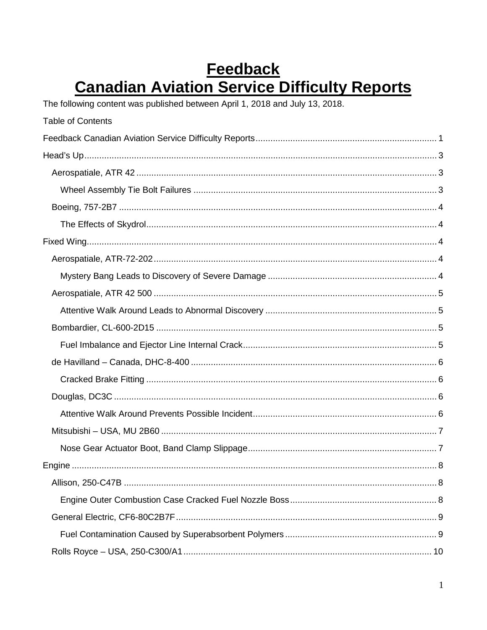# <span id="page-0-0"></span>**Feedback Canadian Aviation Service Difficulty Reports**

The following content was published between April 1, 2018 and July 13, 2018.

| <b>Table of Contents</b> |
|--------------------------|
|                          |
|                          |
|                          |
|                          |
|                          |
|                          |
|                          |
|                          |
|                          |
|                          |
|                          |
|                          |
|                          |
|                          |
|                          |
|                          |
|                          |
|                          |
|                          |
|                          |
|                          |
|                          |
|                          |
|                          |
|                          |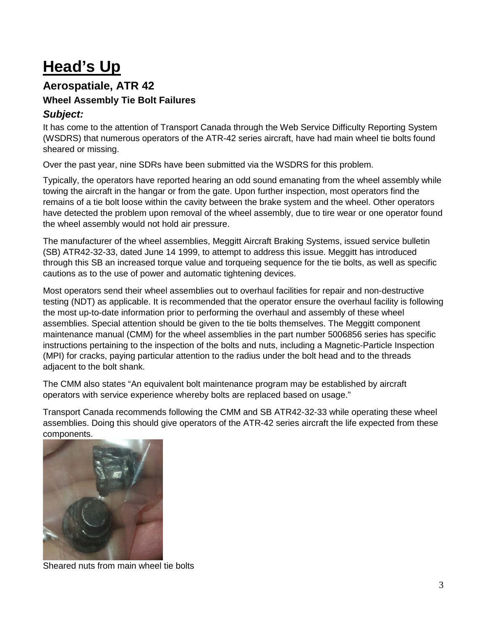# <span id="page-2-0"></span>**Head's Up**

#### <span id="page-2-1"></span>**Aerospatiale, ATR 42 Wheel Assembly Tie Bolt Failures**

#### <span id="page-2-2"></span>*Subject:*

It has come to the attention of Transport Canada through the Web Service Difficulty Reporting System (WSDRS) that numerous operators of the ATR-42 series aircraft, have had main wheel tie bolts found sheared or missing.

Over the past year, nine SDRs have been submitted via the WSDRS for this problem.

Typically, the operators have reported hearing an odd sound emanating from the wheel assembly while towing the aircraft in the hangar or from the gate. Upon further inspection, most operators find the remains of a tie bolt loose within the cavity between the brake system and the wheel. Other operators have detected the problem upon removal of the wheel assembly, due to tire wear or one operator found the wheel assembly would not hold air pressure.

The manufacturer of the wheel assemblies, Meggitt Aircraft Braking Systems, issued service bulletin (SB) ATR42-32-33, dated June 14 1999, to attempt to address this issue. Meggitt has introduced through this SB an increased torque value and torqueing sequence for the tie bolts, as well as specific cautions as to the use of power and automatic tightening devices.

Most operators send their wheel assemblies out to overhaul facilities for repair and non-destructive testing (NDT) as applicable. It is recommended that the operator ensure the overhaul facility is following the most up-to-date information prior to performing the overhaul and assembly of these wheel assemblies. Special attention should be given to the tie bolts themselves. The Meggitt component maintenance manual (CMM) for the wheel assemblies in the part number 5006856 series has specific instructions pertaining to the inspection of the bolts and nuts, including a Magnetic-Particle Inspection (MPI) for cracks, paying particular attention to the radius under the bolt head and to the threads adjacent to the bolt shank.

The CMM also states "An equivalent bolt maintenance program may be established by aircraft operators with service experience whereby bolts are replaced based on usage."

Transport Canada recommends following the CMM and SB ATR42-32-33 while operating these wheel assemblies. Doing this should give operators of the ATR-42 series aircraft the life expected from these components.



Sheared nuts from main wheel tie bolts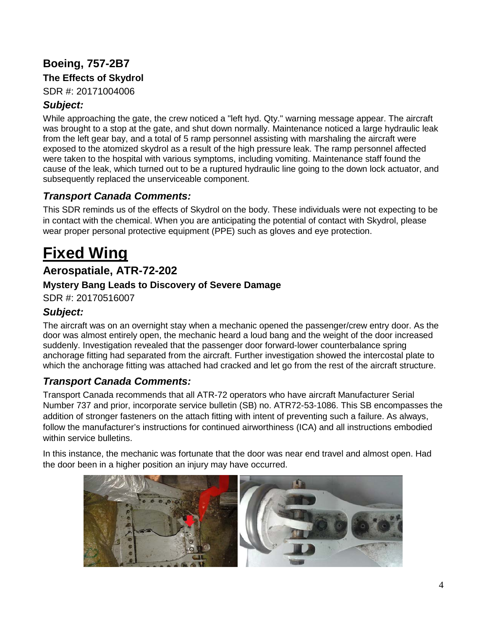## <span id="page-3-0"></span>**Boeing, 757-2B7**

#### <span id="page-3-1"></span>**The Effects of Skydrol**

SDR #: 20171004006

#### *Subject:*

While approaching the gate, the crew noticed a "left hyd. Qty." warning message appear. The aircraft was brought to a stop at the gate, and shut down normally. Maintenance noticed a large hydraulic leak from the left gear bay, and a total of 5 ramp personnel assisting with marshaling the aircraft were exposed to the atomized skydrol as a result of the high pressure leak. The ramp personnel affected were taken to the hospital with various symptoms, including vomiting. Maintenance staff found the cause of the leak, which turned out to be a ruptured hydraulic line going to the down lock actuator, and subsequently replaced the unserviceable component.

#### *Transport Canada Comments:*

This SDR reminds us of the effects of Skydrol on the body. These individuals were not expecting to be in contact with the chemical. When you are anticipating the potential of contact with Skydrol, please wear proper personal protective equipment (PPE) such as gloves and eye protection.

# <span id="page-3-2"></span>**Fixed Wing**

### <span id="page-3-3"></span>**Aerospatiale, ATR-72-202**

#### <span id="page-3-4"></span>**Mystery Bang Leads to Discovery of Severe Damage**

SDR #: 20170516007

#### *Subject:*

The aircraft was on an overnight stay when a mechanic opened the passenger/crew entry door. As the door was almost entirely open, the mechanic heard a loud bang and the weight of the door increased suddenly. Investigation revealed that the passenger door forward-lower counterbalance spring anchorage fitting had separated from the aircraft. Further investigation showed the intercostal plate to which the anchorage fitting was attached had cracked and let go from the rest of the aircraft structure.

#### *Transport Canada Comments:*

Transport Canada recommends that all ATR-72 operators who have aircraft Manufacturer Serial Number 737 and prior, incorporate service bulletin (SB) no. ATR72-53-1086. This SB encompasses the addition of stronger fasteners on the attach fitting with intent of preventing such a failure. As always, follow the manufacturer's instructions for continued airworthiness (ICA) and all instructions embodied within service bulletins.

In this instance, the mechanic was fortunate that the door was near end travel and almost open. Had the door been in a higher position an injury may have occurred.

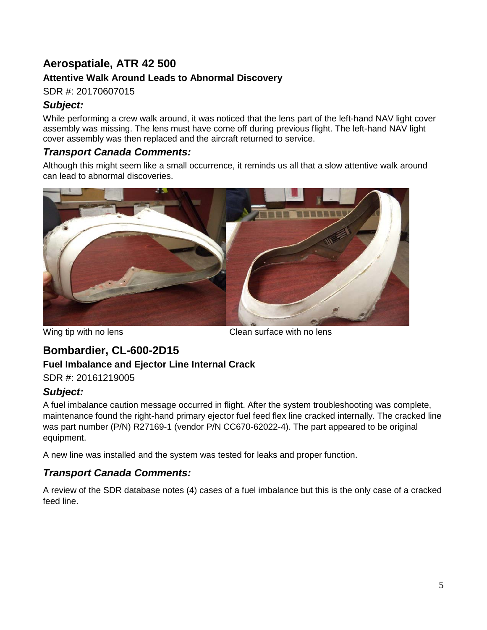# <span id="page-4-0"></span>**Aerospatiale, ATR 42 500**

#### <span id="page-4-1"></span>**Attentive Walk Around Leads to Abnormal Discovery**

SDR #: 20170607015

#### *Subject:*

While performing a crew walk around, it was noticed that the lens part of the left-hand NAV light cover assembly was missing. The lens must have come off during previous flight. The left-hand NAV light cover assembly was then replaced and the aircraft returned to service.

#### *Transport Canada Comments:*

Although this might seem like a small occurrence, it reminds us all that a slow attentive walk around can lead to abnormal discoveries.



Wing tip with no lens Clean surface with no lens

## <span id="page-4-2"></span>**Bombardier, CL-600-2D15**

#### <span id="page-4-3"></span>**Fuel Imbalance and Ejector Line Internal Crack**

SDR #: 20161219005

#### *Subject:*

A fuel imbalance caution message occurred in flight. After the system troubleshooting was complete, maintenance found the right-hand primary ejector fuel feed flex line cracked internally. The cracked line was part number (P/N) R27169-1 (vendor P/N CC670-62022-4). The part appeared to be original equipment.

A new line was installed and the system was tested for leaks and proper function.

#### *Transport Canada Comments:*

A review of the SDR database notes (4) cases of a fuel imbalance but this is the only case of a cracked feed line.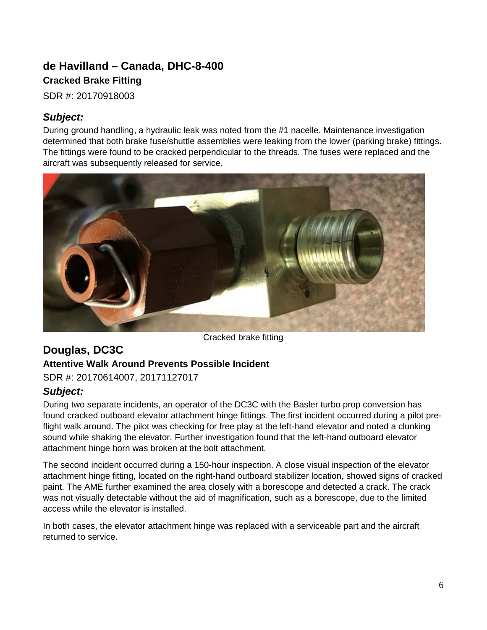## <span id="page-5-1"></span><span id="page-5-0"></span>**de Havilland – Canada, DHC-8-400 Cracked Brake Fitting**

SDR #: 20170918003

#### *Subject:*

During ground handling, a hydraulic leak was noted from the #1 nacelle. Maintenance investigation determined that both brake fuse/shuttle assemblies were leaking from the lower (parking brake) fittings. The fittings were found to be cracked perpendicular to the threads. The fuses were replaced and the aircraft was subsequently released for service.



Cracked brake fitting

#### <span id="page-5-3"></span><span id="page-5-2"></span>**Douglas, DC3C Attentive Walk Around Prevents Possible Incident** SDR #: 20170614007, 20171127017

# *Subject:*

During two separate incidents, an operator of the DC3C with the Basler turbo prop conversion has found cracked outboard elevator attachment hinge fittings. The first incident occurred during a pilot preflight walk around. The pilot was checking for free play at the left-hand elevator and noted a clunking sound while shaking the elevator. Further investigation found that the left-hand outboard elevator attachment hinge horn was broken at the bolt attachment.

The second incident occurred during a 150-hour inspection. A close visual inspection of the elevator attachment hinge fitting, located on the right-hand outboard stabilizer location, showed signs of cracked paint. The AME further examined the area closely with a borescope and detected a crack. The crack was not visually detectable without the aid of magnification, such as a borescope, due to the limited access while the elevator is installed.

In both cases, the elevator attachment hinge was replaced with a serviceable part and the aircraft returned to service.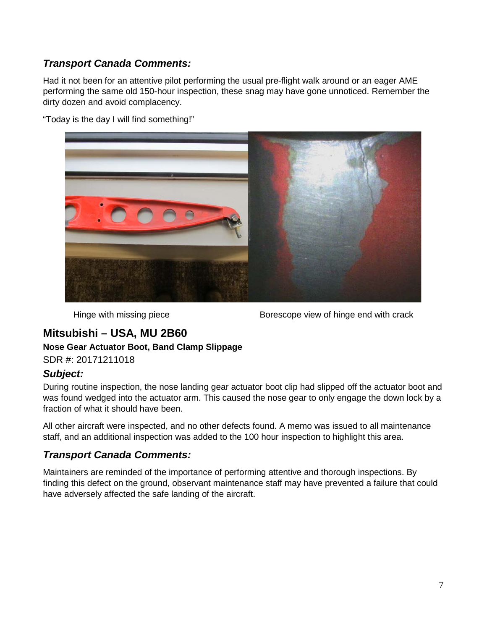#### *Transport Canada Comments:*

Had it not been for an attentive pilot performing the usual pre-flight walk around or an eager AME performing the same old 150-hour inspection, these snag may have gone unnoticed. Remember the dirty dozen and avoid complacency.

"Today is the day I will find something!"



Hinge with missing piece Borescope view of hinge end with crack

### <span id="page-6-0"></span>**Mitsubishi – USA, MU 2B60**

#### <span id="page-6-1"></span>**Nose Gear Actuator Boot, Band Clamp Slippage**

SDR #: 20171211018

#### *Subject:*

During routine inspection, the nose landing gear actuator boot clip had slipped off the actuator boot and was found wedged into the actuator arm. This caused the nose gear to only engage the down lock by a fraction of what it should have been.

All other aircraft were inspected, and no other defects found. A memo was issued to all maintenance staff, and an additional inspection was added to the 100 hour inspection to highlight this area.

#### *Transport Canada Comments:*

Maintainers are reminded of the importance of performing attentive and thorough inspections. By finding this defect on the ground, observant maintenance staff may have prevented a failure that could have adversely affected the safe landing of the aircraft.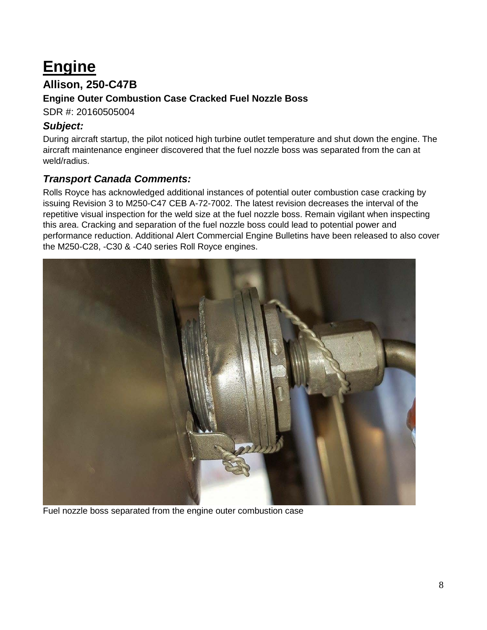# <span id="page-7-0"></span>**Engine**

### <span id="page-7-1"></span>**Allison, 250-C47B**

#### <span id="page-7-2"></span>**Engine Outer Combustion Case Cracked Fuel Nozzle Boss**

SDR #: 20160505004

#### *Subject:*

During aircraft startup, the pilot noticed high turbine outlet temperature and shut down the engine. The aircraft maintenance engineer discovered that the fuel nozzle boss was separated from the can at weld/radius.

#### *Transport Canada Comments:*

Rolls Royce has acknowledged additional instances of potential outer combustion case cracking by issuing Revision 3 to M250-C47 CEB A-72-7002. The latest revision decreases the interval of the repetitive visual inspection for the weld size at the fuel nozzle boss. Remain vigilant when inspecting this area. Cracking and separation of the fuel nozzle boss could lead to potential power and performance reduction. Additional Alert Commercial Engine Bulletins have been released to also cover the M250-C28, -C30 & -C40 series Roll Royce engines.



Fuel nozzle boss separated from the engine outer combustion case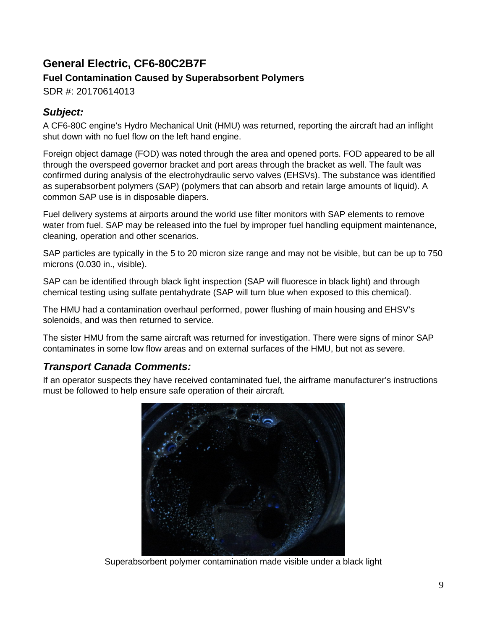# <span id="page-8-0"></span>**General Electric, CF6-80C2B7F Fuel Contamination Caused by Superabsorbent Polymers**

<span id="page-8-1"></span>SDR #: 20170614013

### *Subject:*

A CF6-80C engine's Hydro Mechanical Unit (HMU) was returned, reporting the aircraft had an inflight shut down with no fuel flow on the left hand engine.

Foreign object damage (FOD) was noted through the area and opened ports. FOD appeared to be all through the overspeed governor bracket and port areas through the bracket as well. The fault was confirmed during analysis of the electrohydraulic servo valves (EHSVs). The substance was identified as superabsorbent polymers (SAP) (polymers that can absorb and retain large amounts of liquid). A common SAP use is in disposable diapers.

Fuel delivery systems at airports around the world use filter monitors with SAP elements to remove water from fuel. SAP may be released into the fuel by improper fuel handling equipment maintenance, cleaning, operation and other scenarios.

SAP particles are typically in the 5 to 20 micron size range and may not be visible, but can be up to 750 microns (0.030 in., visible).

SAP can be identified through black light inspection (SAP will fluoresce in black light) and through chemical testing using sulfate pentahydrate (SAP will turn blue when exposed to this chemical).

The HMU had a contamination overhaul performed, power flushing of main housing and EHSV's solenoids, and was then returned to service.

The sister HMU from the same aircraft was returned for investigation. There were signs of minor SAP contaminates in some low flow areas and on external surfaces of the HMU, but not as severe.

### *Transport Canada Comments:*

If an operator suspects they have received contaminated fuel, the airframe manufacturer's instructions must be followed to help ensure safe operation of their aircraft.



Superabsorbent polymer contamination made visible under a black light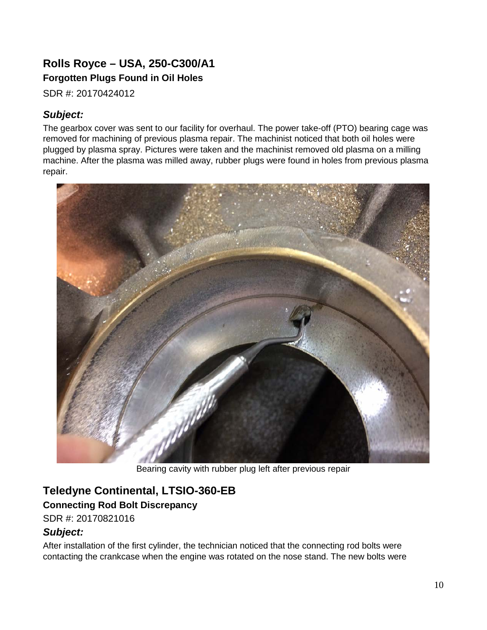## <span id="page-9-1"></span><span id="page-9-0"></span>**Rolls Royce – USA, 250-C300/A1 Forgotten Plugs Found in Oil Holes**

SDR #: 20170424012

### *Subject:*

The gearbox cover was sent to our facility for overhaul. The power take-off (PTO) bearing cage was removed for machining of previous plasma repair. The machinist noticed that both oil holes were plugged by plasma spray. Pictures were taken and the machinist removed old plasma on a milling machine. After the plasma was milled away, rubber plugs were found in holes from previous plasma repair.



Bearing cavity with rubber plug left after previous repair

## <span id="page-9-2"></span>**Teledyne Continental, LTSIO-360-EB**

#### <span id="page-9-3"></span>**Connecting Rod Bolt Discrepancy**

SDR #: 20170821016

#### *Subject:*

After installation of the first cylinder, the technician noticed that the connecting rod bolts were contacting the crankcase when the engine was rotated on the nose stand. The new bolts were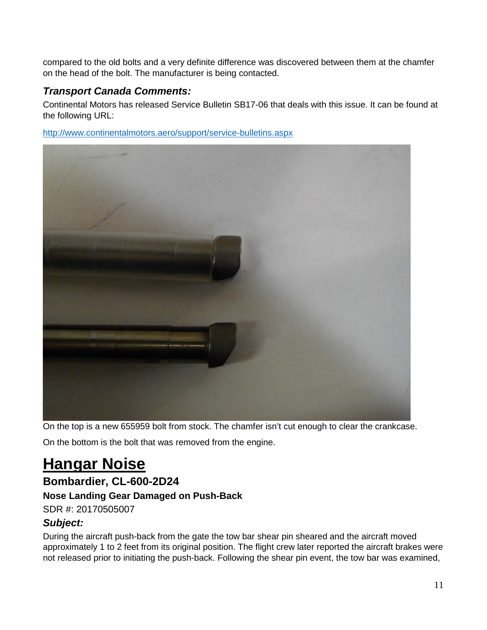compared to the old bolts and a very definite difference was discovered between them at the chamfer on the head of the bolt. The manufacturer is being contacted.

#### *Transport Canada Comments:*

Continental Motors has released Service Bulletin SB17-06 that deals with this issue. It can be found at the following URL:

<http://www.continentalmotors.aero/support/service-bulletins.aspx>



On the top is a new 655959 bolt from stock. The chamfer isn't cut enough to clear the crankcase.

On the bottom is the bolt that was removed from the engine.

# <span id="page-10-0"></span>**Hangar Noise**

## <span id="page-10-1"></span>**Bombardier, CL-600-2D24**

#### <span id="page-10-2"></span>**Nose Landing Gear Damaged on Push-Back**

SDR #: 20170505007

#### *Subject:*

During the aircraft push-back from the gate the tow bar shear pin sheared and the aircraft moved approximately 1 to 2 feet from its original position. The flight crew later reported the aircraft brakes were not released prior to initiating the push-back. Following the shear pin event, the tow bar was examined,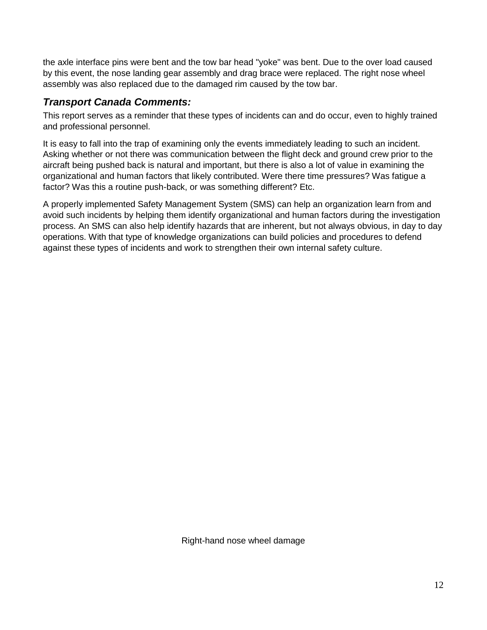the axle interface pins were bent and the tow bar head "yoke" was bent. Due to the over load caused by this event, the nose landing gear assembly and drag brace were replaced. The right nose wheel assembly was also replaced due to the damaged rim caused by the tow bar.

#### *Transport Canada Comments:*

This report serves as a reminder that these types of incidents can and do occur, even to highly trained and professional personnel.

It is easy to fall into the trap of examining only the events immediately leading to such an incident. Asking whether or not there was communication between the flight deck and ground crew prior to the aircraft being pushed back is natural and important, but there is also a lot of value in examining the organizational and human factors that likely contributed. Were there time pressures? Was fatigue a factor? Was this a routine push-back, or was something different? Etc.

A properly implemented Safety Management System (SMS) can help an organization learn from and avoid such incidents by helping them identify organizational and human factors during the investigation process. An SMS can also help identify hazards that are inherent, but not always obvious, in day to day operations. With that type of knowledge organizations can build policies and procedures to defend against these types of incidents and work to strengthen their own internal safety culture.

Right-hand nose wheel damage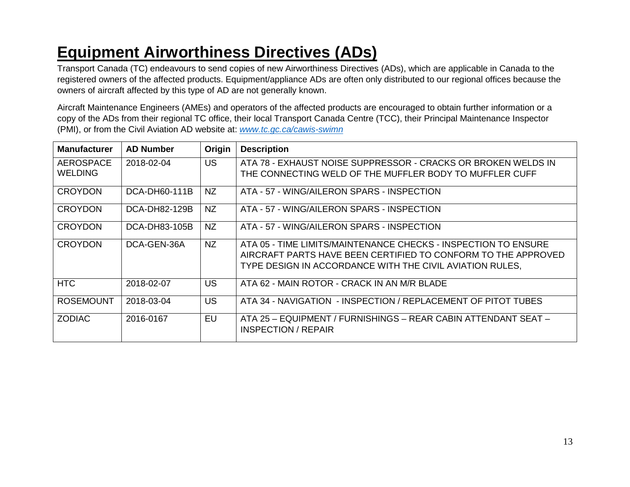# **Equipment Airworthiness Directives (ADs)**

Transport Canada (TC) endeavours to send copies of new Airworthiness Directives (ADs), which are applicable in Canada to the registered owners of the affected products. Equipment/appliance ADs are often only distributed to our regional offices because the owners of aircraft affected by this type of AD are not generally known.

Aircraft Maintenance Engineers (AMEs) and operators of the affected products are encouraged to obtain further information or a copy of the ADs from their regional TC office, their local Transport Canada Centre (TCC), their Principal Maintenance Inspector (PMI), or from the Civil Aviation AD website at: *www.tc.gc.ca/cawis-swimn*

<span id="page-12-1"></span><span id="page-12-0"></span>

| <b>Manufacturer</b>         | <b>AD Number</b> | Origin    | <b>Description</b>                                                                                                                                                                          |
|-----------------------------|------------------|-----------|---------------------------------------------------------------------------------------------------------------------------------------------------------------------------------------------|
| AEROSPACE<br><b>WELDING</b> | 2018-02-04       | US.       | ATA 78 - EXHAUST NOISE SUPPRESSOR - CRACKS OR BROKEN WELDS IN<br>THE CONNECTING WELD OF THE MUFFLER BODY TO MUFFLER CUFF                                                                    |
| <b>CROYDON</b>              | DCA-DH60-111B    | <b>NZ</b> | ATA - 57 - WING/AILERON SPARS - INSPECTION                                                                                                                                                  |
| <b>CROYDON</b>              | DCA-DH82-129B    | NZ        | ATA - 57 - WING/AILERON SPARS - INSPECTION                                                                                                                                                  |
| <b>CROYDON</b>              | DCA-DH83-105B    | <b>NZ</b> | ATA - 57 - WING/AILERON SPARS - INSPECTION                                                                                                                                                  |
| <b>CROYDON</b>              | DCA-GEN-36A      | <b>NZ</b> | ATA 05 - TIME LIMITS/MAINTENANCE CHECKS - INSPECTION TO ENSURE<br>AIRCRAFT PARTS HAVE BEEN CERTIFIED TO CONFORM TO THE APPROVED<br>TYPE DESIGN IN ACCORDANCE WITH THE CIVIL AVIATION RULES, |
| <b>HTC</b>                  | 2018-02-07       | <b>US</b> | ATA 62 - MAIN ROTOR - CRACK IN AN M/R BLADE                                                                                                                                                 |
| <b>ROSEMOUNT</b>            | 2018-03-04       | <b>US</b> | ATA 34 - NAVIGATION - INSPECTION / REPLACEMENT OF PITOT TUBES                                                                                                                               |
| <b>ZODIAC</b>               | 2016-0167        | EU        | ATA 25 - EQUIPMENT / FURNISHINGS - REAR CABIN ATTENDANT SEAT -<br>INSPECTION / REPAIR                                                                                                       |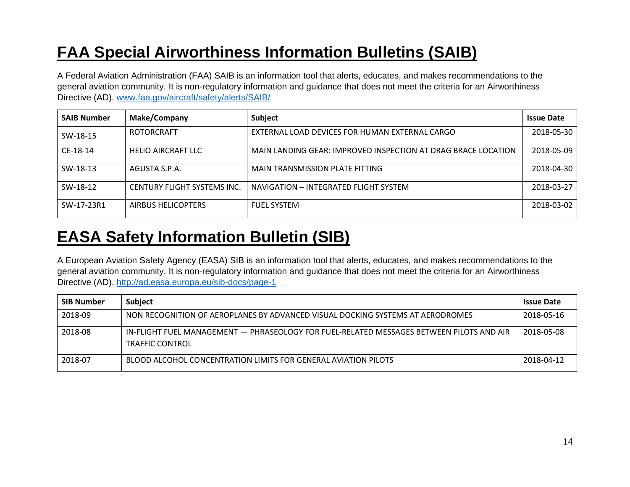# **FAA Special Airworthiness Information Bulletins (SAIB)**

A Federal Aviation Administration (FAA) SAIB is an information tool that alerts, educates, and makes recommendations to the general aviation community. It is non-regulatory information and guidance that does not meet the criteria for an Airworthiness Directive (AD). www.faa.gov/aircraft/safety/alerts/SAIB/

| <b>SAIB Number</b> | <b>Make/Company</b>         | Subject                                                       | <b>Issue Date</b> |
|--------------------|-----------------------------|---------------------------------------------------------------|-------------------|
| SW-18-15           | ROTORCRAFT                  | EXTERNAL LOAD DEVICES FOR HUMAN EXTERNAL CARGO                | 2018-05-30        |
| CE-18-14           | <b>HELIO AIRCRAFT LLC</b>   | MAIN LANDING GEAR: IMPROVED INSPECTION AT DRAG BRACE LOCATION | 2018-05-09        |
| SW-18-13           | AGUSTA S.P.A.               | MAIN TRANSMISSION PLATE FITTING                               | 2018-04-30        |
| SW-18-12           | CENTURY FLIGHT SYSTEMS INC. | NAVIGATION - INTEGRATED FLIGHT SYSTEM                         | 2018-03-27        |
| SW-17-23R1         | AIRBUS HELICOPTERS          | <b>FUEL SYSTEM</b>                                            | 2018-03-02        |

# **EASA Safety Information Bulletin (SIB)**

A European Aviation Safety Agency (EASA) SIB is an information tool that alerts, educates, and makes recommendations to the general aviation community. It is non-regulatory information and guidance that does not meet the criteria for an Airworthiness Directive (AD).<http://ad.easa.europa.eu/sib-docs/page-1>

<span id="page-13-0"></span>

| <b>SIB Number</b> | <b>Subject</b>                                                                                                     | <b>Issue Date</b> |
|-------------------|--------------------------------------------------------------------------------------------------------------------|-------------------|
| 2018-09           | NON RECOGNITION OF AEROPLANES BY ADVANCED VISUAL DOCKING SYSTEMS AT AERODROMES                                     | 2018-05-16        |
| 2018-08           | IN-FLIGHT FUEL MANAGEMENT - PHRASEOLOGY FOR FUEL-RELATED MESSAGES BETWEEN PILOTS AND AIR<br><b>TRAFFIC CONTROL</b> | 2018-05-08        |
| 2018-07           | BLOOD ALCOHOL CONCENTRATION LIMITS FOR GENERAL AVIATION PILOTS                                                     | 2018-04-12        |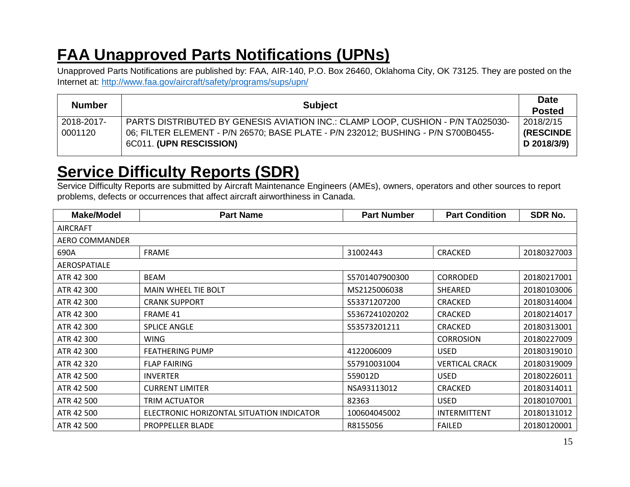# **FAA Unapproved Parts Notifications (UPNs)**

Unapproved Parts Notifications are published by: FAA, AIR-140, P.O. Box 26460, Oklahoma City, OK 73125. They are posted on the Internet at:<http://www.faa.gov/aircraft/safety/programs/sups/upn/>

| <b>Number</b> | <b>Subject</b>                                                                    |                   |
|---------------|-----------------------------------------------------------------------------------|-------------------|
|               |                                                                                   | <b>Posted</b>     |
| 2018-2017-    | PARTS DISTRIBUTED BY GENESIS AVIATION INC.: CLAMP LOOP, CUSHION - P/N TA025030-   | 2018/2/15         |
| 0001120       | 06; FILTER ELEMENT - P/N 26570; BASE PLATE - P/N 232012; BUSHING - P/N S700B0455- | <b>(RESCINDE)</b> |
|               | 6C011. (UPN RESCISSION)                                                           | D 2018/3/9)       |
|               |                                                                                   |                   |

# **Service Difficulty Reports (SDR)**

<span id="page-14-0"></span>Service Difficulty Reports are submitted by Aircraft Maintenance Engineers (AMEs), owners, operators and other sources to report problems, defects or occurrences that affect aircraft airworthiness in Canada.

<span id="page-14-1"></span>

| <b>Make/Model</b>     | <b>Part Name</b>                          | <b>Part Number</b> | <b>Part Condition</b> | SDR No.     |
|-----------------------|-------------------------------------------|--------------------|-----------------------|-------------|
| <b>AIRCRAFT</b>       |                                           |                    |                       |             |
| <b>AERO COMMANDER</b> |                                           |                    |                       |             |
| 690A                  | <b>FRAME</b>                              | 31002443           | <b>CRACKED</b>        | 20180327003 |
| AEROSPATIALE          |                                           |                    |                       |             |
| ATR 42 300            | <b>BEAM</b>                               | S5701407900300     | CORRODED              | 20180217001 |
| ATR 42 300            | MAIN WHEEL TIE BOLT                       | MS2125006038       | <b>SHEARED</b>        | 20180103006 |
| ATR 42 300            | <b>CRANK SUPPORT</b>                      | S53371207200       | <b>CRACKED</b>        | 20180314004 |
| ATR 42 300            | FRAME 41                                  | S5367241020202     | <b>CRACKED</b>        | 20180214017 |
| ATR 42 300            | <b>SPLICE ANGLE</b>                       | S53573201211       | <b>CRACKED</b>        | 20180313001 |
| ATR 42 300            | WING                                      |                    | <b>CORROSION</b>      | 20180227009 |
| ATR 42 300            | <b>FEATHERING PUMP</b>                    | 4122006009         | <b>USED</b>           | 20180319010 |
| ATR 42 320            | <b>FLAP FAIRING</b>                       | S57910031004       | <b>VERTICAL CRACK</b> | 20180319009 |
| ATR 42 500            | <b>INVERTER</b>                           | 559012D            | <b>USED</b>           | 20180226011 |
| ATR 42 500            | <b>CURRENT LIMITER</b>                    | NSA93113012        | <b>CRACKED</b>        | 20180314011 |
| ATR 42 500            | TRIM ACTUATOR                             | 82363              | <b>USED</b>           | 20180107001 |
| ATR 42 500            | ELECTRONIC HORIZONTAL SITUATION INDICATOR | 100604045002       | INTERMITTENT          | 20180131012 |
| ATR 42 500            | PROPPELLER BLADE                          | R8155056           | <b>FAILED</b>         | 20180120001 |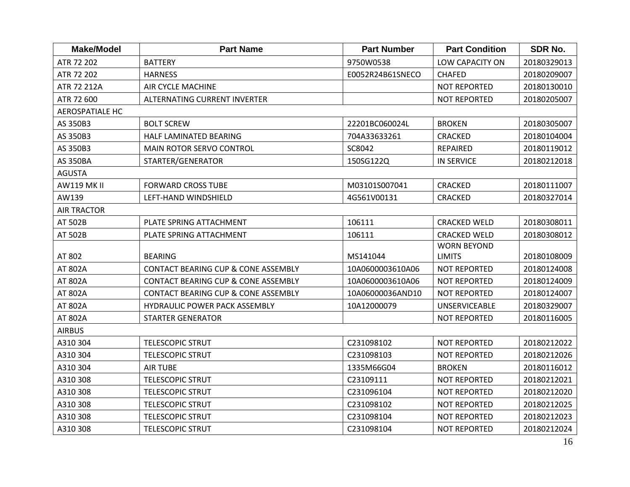| <b>Make/Model</b>      | <b>Part Name</b>                               | <b>Part Number</b> | <b>Part Condition</b> | SDR No.     |
|------------------------|------------------------------------------------|--------------------|-----------------------|-------------|
| ATR 72 202             | <b>BATTERY</b>                                 | 9750W0538          | LOW CAPACITY ON       | 20180329013 |
| ATR 72 202             | <b>HARNESS</b>                                 | E0052R24B61SNECO   | <b>CHAFED</b>         | 20180209007 |
| ATR 72 212A            | <b>AIR CYCLE MACHINE</b>                       |                    | <b>NOT REPORTED</b>   | 20180130010 |
| ATR 72 600             | ALTERNATING CURRENT INVERTER                   |                    | <b>NOT REPORTED</b>   | 20180205007 |
| <b>AEROSPATIALE HC</b> |                                                |                    |                       |             |
| AS 350B3               | <b>BOLT SCREW</b>                              | 22201BC060024L     | <b>BROKEN</b>         | 20180305007 |
| AS 350B3               | HALF LAMINATED BEARING                         | 704A33633261       | <b>CRACKED</b>        | 20180104004 |
| AS 350B3               | MAIN ROTOR SERVO CONTROL                       | SC8042             | <b>REPAIRED</b>       | 20180119012 |
| <b>AS 350BA</b>        | STARTER/GENERATOR                              | 150SG122Q          | <b>IN SERVICE</b>     | 20180212018 |
| <b>AGUSTA</b>          |                                                |                    |                       |             |
| <b>AW119 MK II</b>     | <b>FORWARD CROSS TUBE</b>                      | M03101S007041      | <b>CRACKED</b>        | 20180111007 |
| AW139                  | LEFT-HAND WINDSHIELD                           | 4G561V00131        | <b>CRACKED</b>        | 20180327014 |
| <b>AIR TRACTOR</b>     |                                                |                    |                       |             |
| AT 502B                | PLATE SPRING ATTACHMENT                        | 106111             | <b>CRACKED WELD</b>   | 20180308011 |
| AT 502B                | PLATE SPRING ATTACHMENT                        | 106111             | <b>CRACKED WELD</b>   | 20180308012 |
|                        |                                                |                    | <b>WORN BEYOND</b>    |             |
| AT 802                 | <b>BEARING</b>                                 | MS141044           | <b>LIMITS</b>         | 20180108009 |
| AT 802A                | <b>CONTACT BEARING CUP &amp; CONE ASSEMBLY</b> | 10A0600003610A06   | <b>NOT REPORTED</b>   | 20180124008 |
| AT 802A                | <b>CONTACT BEARING CUP &amp; CONE ASSEMBLY</b> | 10A0600003610A06   | <b>NOT REPORTED</b>   | 20180124009 |
| AT 802A                | <b>CONTACT BEARING CUP &amp; CONE ASSEMBLY</b> | 10A06000036AND10   | <b>NOT REPORTED</b>   | 20180124007 |
| AT 802A                | <b>HYDRAULIC POWER PACK ASSEMBLY</b>           | 10A12000079        | <b>UNSERVICEABLE</b>  | 20180329007 |
| AT 802A                | <b>STARTER GENERATOR</b>                       |                    | <b>NOT REPORTED</b>   | 20180116005 |
| <b>AIRBUS</b>          |                                                |                    |                       |             |
| A310 304               | <b>TELESCOPIC STRUT</b>                        | C231098102         | <b>NOT REPORTED</b>   | 20180212022 |
| A310 304               | <b>TELESCOPIC STRUT</b>                        | C231098103         | <b>NOT REPORTED</b>   | 20180212026 |
| A310 304               | <b>AIR TUBE</b>                                | 1335M66G04         | <b>BROKEN</b>         | 20180116012 |
| A310 308               | <b>TELESCOPIC STRUT</b>                        | C23109111          | <b>NOT REPORTED</b>   | 20180212021 |
| A310 308               | <b>TELESCOPIC STRUT</b>                        | C231096104         | <b>NOT REPORTED</b>   | 20180212020 |
| A310 308               | <b>TELESCOPIC STRUT</b>                        | C231098102         | <b>NOT REPORTED</b>   | 20180212025 |
| A310 308               | <b>TELESCOPIC STRUT</b>                        | C231098104         | <b>NOT REPORTED</b>   | 20180212023 |
| A310 308               | <b>TELESCOPIC STRUT</b>                        | C231098104         | <b>NOT REPORTED</b>   | 20180212024 |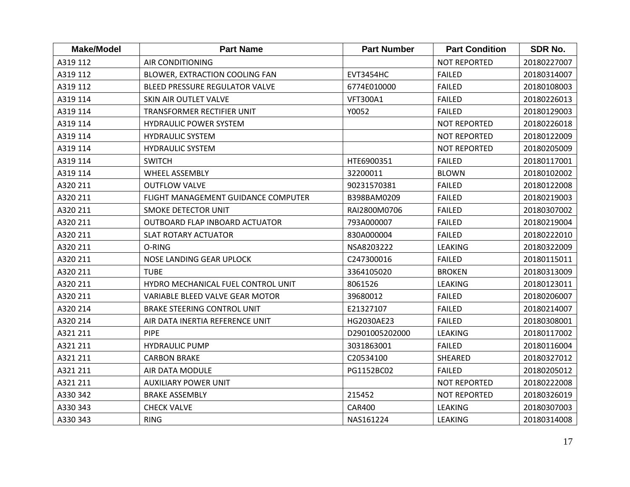| <b>Make/Model</b> | <b>Part Name</b>                      | <b>Part Number</b> | <b>Part Condition</b> | <b>SDR No.</b> |
|-------------------|---------------------------------------|--------------------|-----------------------|----------------|
| A319 112          | <b>AIR CONDITIONING</b>               |                    | <b>NOT REPORTED</b>   | 20180227007    |
| A319 112          | BLOWER, EXTRACTION COOLING FAN        | <b>EVT3454HC</b>   | <b>FAILED</b>         | 20180314007    |
| A319 112          | <b>BLEED PRESSURE REGULATOR VALVE</b> | 6774E010000        | <b>FAILED</b>         | 20180108003    |
| A319 114          | SKIN AIR OUTLET VALVE                 | <b>VFT300A1</b>    | <b>FAILED</b>         | 20180226013    |
| A319 114          | TRANSFORMER RECTIFIER UNIT            | Y0052              | <b>FAILED</b>         | 20180129003    |
| A319 114          | <b>HYDRAULIC POWER SYSTEM</b>         |                    | <b>NOT REPORTED</b>   | 20180226018    |
| A319 114          | <b>HYDRAULIC SYSTEM</b>               |                    | <b>NOT REPORTED</b>   | 20180122009    |
| A319 114          | <b>HYDRAULIC SYSTEM</b>               |                    | <b>NOT REPORTED</b>   | 20180205009    |
| A319 114          | <b>SWITCH</b>                         | HTE6900351         | <b>FAILED</b>         | 20180117001    |
| A319 114          | <b>WHEEL ASSEMBLY</b>                 | 32200011           | <b>BLOWN</b>          | 20180102002    |
| A320 211          | <b>OUTFLOW VALVE</b>                  | 90231570381        | <b>FAILED</b>         | 20180122008    |
| A320 211          | FLIGHT MANAGEMENT GUIDANCE COMPUTER   | B398BAM0209        | <b>FAILED</b>         | 20180219003    |
| A320 211          | <b>SMOKE DETECTOR UNIT</b>            | RAI2800M0706       | <b>FAILED</b>         | 20180307002    |
| A320 211          | OUTBOARD FLAP INBOARD ACTUATOR        | 793A000007         | <b>FAILED</b>         | 20180219004    |
| A320 211          | <b>SLAT ROTARY ACTUATOR</b>           | 830A000004         | <b>FAILED</b>         | 20180222010    |
| A320 211          | O-RING                                | NSA8203222         | <b>LEAKING</b>        | 20180322009    |
| A320 211          | NOSE LANDING GEAR UPLOCK              | C247300016         | <b>FAILED</b>         | 20180115011    |
| A320 211          | <b>TUBE</b>                           | 3364105020         | <b>BROKEN</b>         | 20180313009    |
| A320 211          | HYDRO MECHANICAL FUEL CONTROL UNIT    | 8061526            | <b>LEAKING</b>        | 20180123011    |
| A320 211          | VARIABLE BLEED VALVE GEAR MOTOR       | 39680012           | <b>FAILED</b>         | 20180206007    |
| A320 214          | <b>BRAKE STEERING CONTROL UNIT</b>    | E21327107          | <b>FAILED</b>         | 20180214007    |
| A320 214          | AIR DATA INERTIA REFERENCE UNIT       | HG2030AE23         | <b>FAILED</b>         | 20180308001    |
| A321 211          | <b>PIPE</b>                           | D2901005202000     | <b>LEAKING</b>        | 20180117002    |
| A321 211          | <b>HYDRAULIC PUMP</b>                 | 3031863001         | <b>FAILED</b>         | 20180116004    |
| A321 211          | <b>CARBON BRAKE</b>                   | C20534100          | SHEARED               | 20180327012    |
| A321 211          | AIR DATA MODULE                       | PG1152BC02         | <b>FAILED</b>         | 20180205012    |
| A321 211          | <b>AUXILIARY POWER UNIT</b>           |                    | NOT REPORTED          | 20180222008    |
| A330 342          | <b>BRAKE ASSEMBLY</b>                 | 215452             | <b>NOT REPORTED</b>   | 20180326019    |
| A330 343          | <b>CHECK VALVE</b>                    | <b>CAR400</b>      | <b>LEAKING</b>        | 20180307003    |
| A330 343          | <b>RING</b>                           | NAS161224          | <b>LEAKING</b>        | 20180314008    |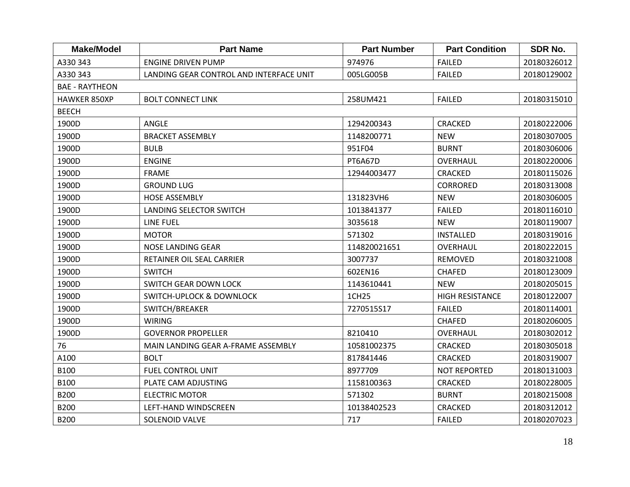| <b>Make/Model</b>     | <b>Part Name</b>                        | <b>Part Number</b> | <b>Part Condition</b>  | <b>SDR No.</b> |
|-----------------------|-----------------------------------------|--------------------|------------------------|----------------|
| A330 343              | <b>ENGINE DRIVEN PUMP</b>               | 974976             | <b>FAILED</b>          | 20180326012    |
| A330 343              | LANDING GEAR CONTROL AND INTERFACE UNIT | 005LG005B          | <b>FAILED</b>          | 20180129002    |
| <b>BAE - RAYTHEON</b> |                                         |                    |                        |                |
| <b>HAWKER 850XP</b>   | <b>BOLT CONNECT LINK</b>                | 258UM421           | <b>FAILED</b>          | 20180315010    |
| <b>BEECH</b>          |                                         |                    |                        |                |
| 1900D                 | ANGLE                                   | 1294200343         | <b>CRACKED</b>         | 20180222006    |
| 1900D                 | <b>BRACKET ASSEMBLY</b>                 | 1148200771         | <b>NEW</b>             | 20180307005    |
| 1900D                 | <b>BULB</b>                             | 951F04             | <b>BURNT</b>           | 20180306006    |
| 1900D                 | <b>ENGINE</b>                           | PT6A67D            | OVERHAUL               | 20180220006    |
| 1900D                 | <b>FRAME</b>                            | 12944003477        | <b>CRACKED</b>         | 20180115026    |
| 1900D                 | <b>GROUND LUG</b>                       |                    | <b>CORRORED</b>        | 20180313008    |
| 1900D                 | <b>HOSE ASSEMBLY</b>                    | 131823VH6          | <b>NEW</b>             | 20180306005    |
| 1900D                 | LANDING SELECTOR SWITCH                 | 1013841377         | <b>FAILED</b>          | 20180116010    |
| 1900D                 | <b>LINE FUEL</b>                        | 3035618            | <b>NEW</b>             | 20180119007    |
| 1900D                 | <b>MOTOR</b>                            | 571302             | <b>INSTALLED</b>       | 20180319016    |
| 1900D                 | <b>NOSE LANDING GEAR</b>                | 114820021651       | OVERHAUL               | 20180222015    |
| 1900D                 | RETAINER OIL SEAL CARRIER               | 3007737            | REMOVED                | 20180321008    |
| 1900D                 | <b>SWITCH</b>                           | 602EN16            | <b>CHAFED</b>          | 20180123009    |
| 1900D                 | <b>SWITCH GEAR DOWN LOCK</b>            | 1143610441         | <b>NEW</b>             | 20180205015    |
| 1900D                 | <b>SWITCH-UPLOCK &amp; DOWNLOCK</b>     | 1CH25              | <b>HIGH RESISTANCE</b> | 20180122007    |
| 1900D                 | SWITCH/BREAKER                          | 7270515S17         | <b>FAILED</b>          | 20180114001    |
| 1900D                 | <b>WIRING</b>                           |                    | <b>CHAFED</b>          | 20180206005    |
| 1900D                 | <b>GOVERNOR PROPELLER</b>               | 8210410            | OVERHAUL               | 20180302012    |
| 76                    | MAIN LANDING GEAR A-FRAME ASSEMBLY      | 10581002375        | <b>CRACKED</b>         | 20180305018    |
| A100                  | <b>BOLT</b>                             | 817841446          | <b>CRACKED</b>         | 20180319007    |
| <b>B100</b>           | <b>FUEL CONTROL UNIT</b>                | 8977709            | <b>NOT REPORTED</b>    | 20180131003    |
| B100                  | PLATE CAM ADJUSTING                     | 1158100363         | <b>CRACKED</b>         | 20180228005    |
| <b>B200</b>           | <b>ELECTRIC MOTOR</b>                   | 571302             | <b>BURNT</b>           | 20180215008    |
| <b>B200</b>           | LEFT-HAND WINDSCREEN                    | 10138402523        | <b>CRACKED</b>         | 20180312012    |
| <b>B200</b>           | <b>SOLENOID VALVE</b>                   | 717                | <b>FAILED</b>          | 20180207023    |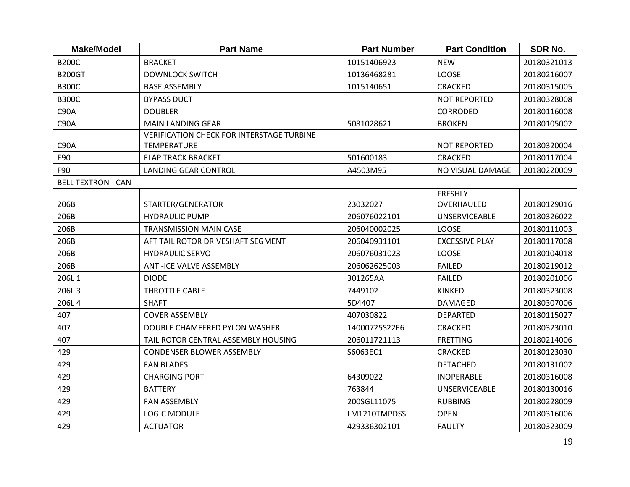| <b>Make/Model</b>         | <b>Part Name</b>                                 | <b>Part Number</b> | <b>Part Condition</b> | <b>SDR No.</b> |
|---------------------------|--------------------------------------------------|--------------------|-----------------------|----------------|
| <b>B200C</b>              | <b>BRACKET</b>                                   | 10151406923        | <b>NEW</b>            | 20180321013    |
| <b>B200GT</b>             | <b>DOWNLOCK SWITCH</b>                           | 10136468281        | LOOSE                 | 20180216007    |
| <b>B300C</b>              | <b>BASE ASSEMBLY</b>                             | 1015140651         | <b>CRACKED</b>        | 20180315005    |
| <b>B300C</b>              | <b>BYPASS DUCT</b>                               |                    | <b>NOT REPORTED</b>   | 20180328008    |
| C90A                      | <b>DOUBLER</b>                                   |                    | <b>CORRODED</b>       | 20180116008    |
| C90A                      | <b>MAIN LANDING GEAR</b>                         | 5081028621         | <b>BROKEN</b>         | 20180105002    |
|                           | <b>VERIFICATION CHECK FOR INTERSTAGE TURBINE</b> |                    |                       |                |
| C90A                      | <b>TEMPERATURE</b>                               |                    | <b>NOT REPORTED</b>   | 20180320004    |
| E90                       | <b>FLAP TRACK BRACKET</b>                        | 501600183          | <b>CRACKED</b>        | 20180117004    |
| F90                       | <b>LANDING GEAR CONTROL</b>                      | A4503M95           | NO VISUAL DAMAGE      | 20180220009    |
| <b>BELL TEXTRON - CAN</b> |                                                  |                    |                       |                |
|                           |                                                  |                    | <b>FRESHLY</b>        |                |
| 206B                      | STARTER/GENERATOR                                | 23032027           | OVERHAULED            | 20180129016    |
| 206B                      | <b>HYDRAULIC PUMP</b>                            | 206076022101       | <b>UNSERVICEABLE</b>  | 20180326022    |
| 206B                      | <b>TRANSMISSION MAIN CASE</b>                    | 206040002025       | LOOSE                 | 20180111003    |
| 206B                      | AFT TAIL ROTOR DRIVESHAFT SEGMENT                | 206040931101       | <b>EXCESSIVE PLAY</b> | 20180117008    |
| 206B                      | <b>HYDRAULIC SERVO</b>                           | 206076031023       | LOOSE                 | 20180104018    |
| 206B                      | <b>ANTI-ICE VALVE ASSEMBLY</b>                   | 206062625003       | <b>FAILED</b>         | 20180219012    |
| 206L1                     | <b>DIODE</b>                                     | 301265AA           | <b>FAILED</b>         | 20180201006    |
| 206L3                     | <b>THROTTLE CABLE</b>                            | 7449102            | <b>KINKED</b>         | 20180323008    |
| 206L4                     | <b>SHAFT</b>                                     | 5D4407             | <b>DAMAGED</b>        | 20180307006    |
| 407                       | <b>COVER ASSEMBLY</b>                            | 407030822          | <b>DEPARTED</b>       | 20180115027    |
| 407                       | DOUBLE CHAMFERED PYLON WASHER                    | 14000725S22E6      | <b>CRACKED</b>        | 20180323010    |
| 407                       | TAIL ROTOR CENTRAL ASSEMBLY HOUSING              | 206011721113       | <b>FRETTING</b>       | 20180214006    |
| 429                       | <b>CONDENSER BLOWER ASSEMBLY</b>                 | S6063EC1           | CRACKED               | 20180123030    |
| 429                       | <b>FAN BLADES</b>                                |                    | <b>DETACHED</b>       | 20180131002    |
| 429                       | <b>CHARGING PORT</b>                             | 64309022           | <b>INOPERABLE</b>     | 20180316008    |
| 429                       | <b>BATTERY</b>                                   | 763844             | <b>UNSERVICEABLE</b>  | 20180130016    |
| 429                       | <b>FAN ASSEMBLY</b>                              | 200SGL11075        | <b>RUBBING</b>        | 20180228009    |
| 429                       | <b>LOGIC MODULE</b>                              | LM1210TMPDSS       | <b>OPEN</b>           | 20180316006    |
| 429                       | <b>ACTUATOR</b>                                  | 429336302101       | <b>FAULTY</b>         | 20180323009    |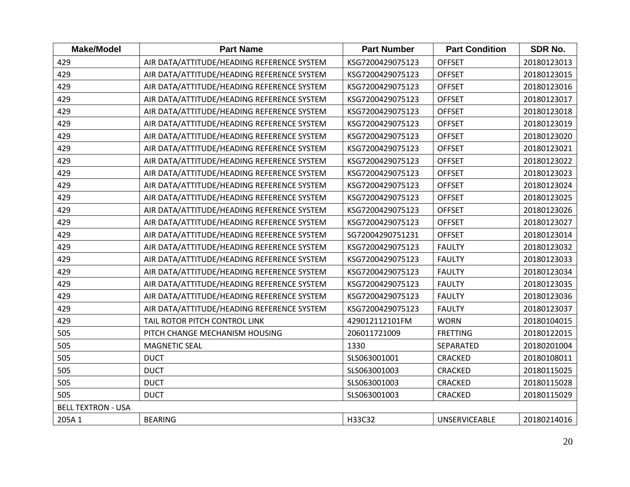| <b>Make/Model</b>         | <b>Part Name</b>                           | <b>Part Number</b> | <b>Part Condition</b> | <b>SDR No.</b> |
|---------------------------|--------------------------------------------|--------------------|-----------------------|----------------|
| 429                       | AIR DATA/ATTITUDE/HEADING REFERENCE SYSTEM | KSG7200429075123   | <b>OFFSET</b>         | 20180123013    |
| 429                       | AIR DATA/ATTITUDE/HEADING REFERENCE SYSTEM | KSG7200429075123   | <b>OFFSET</b>         | 20180123015    |
| 429                       | AIR DATA/ATTITUDE/HEADING REFERENCE SYSTEM | KSG7200429075123   | <b>OFFSET</b>         | 20180123016    |
| 429                       | AIR DATA/ATTITUDE/HEADING REFERENCE SYSTEM | KSG7200429075123   | <b>OFFSET</b>         | 20180123017    |
| 429                       | AIR DATA/ATTITUDE/HEADING REFERENCE SYSTEM | KSG7200429075123   | <b>OFFSET</b>         | 20180123018    |
| 429                       | AIR DATA/ATTITUDE/HEADING REFERENCE SYSTEM | KSG7200429075123   | <b>OFFSET</b>         | 20180123019    |
| 429                       | AIR DATA/ATTITUDE/HEADING REFERENCE SYSTEM | KSG7200429075123   | <b>OFFSET</b>         | 20180123020    |
| 429                       | AIR DATA/ATTITUDE/HEADING REFERENCE SYSTEM | KSG7200429075123   | <b>OFFSET</b>         | 20180123021    |
| 429                       | AIR DATA/ATTITUDE/HEADING REFERENCE SYSTEM | KSG7200429075123   | <b>OFFSET</b>         | 20180123022    |
| 429                       | AIR DATA/ATTITUDE/HEADING REFERENCE SYSTEM | KSG7200429075123   | <b>OFFSET</b>         | 20180123023    |
| 429                       | AIR DATA/ATTITUDE/HEADING REFERENCE SYSTEM | KSG7200429075123   | <b>OFFSET</b>         | 20180123024    |
| 429                       | AIR DATA/ATTITUDE/HEADING REFERENCE SYSTEM | KSG7200429075123   | <b>OFFSET</b>         | 20180123025    |
| 429                       | AIR DATA/ATTITUDE/HEADING REFERENCE SYSTEM | KSG7200429075123   | <b>OFFSET</b>         | 20180123026    |
| 429                       | AIR DATA/ATTITUDE/HEADING REFERENCE SYSTEM | KSG7200429075123   | <b>OFFSET</b>         | 20180123027    |
| 429                       | AIR DATA/ATTITUDE/HEADING REFERENCE SYSTEM | SG72004290751231   | <b>OFFSET</b>         | 20180123014    |
| 429                       | AIR DATA/ATTITUDE/HEADING REFERENCE SYSTEM | KSG7200429075123   | <b>FAULTY</b>         | 20180123032    |
| 429                       | AIR DATA/ATTITUDE/HEADING REFERENCE SYSTEM | KSG7200429075123   | <b>FAULTY</b>         | 20180123033    |
| 429                       | AIR DATA/ATTITUDE/HEADING REFERENCE SYSTEM | KSG7200429075123   | <b>FAULTY</b>         | 20180123034    |
| 429                       | AIR DATA/ATTITUDE/HEADING REFERENCE SYSTEM | KSG7200429075123   | <b>FAULTY</b>         | 20180123035    |
| 429                       | AIR DATA/ATTITUDE/HEADING REFERENCE SYSTEM | KSG7200429075123   | <b>FAULTY</b>         | 20180123036    |
| 429                       | AIR DATA/ATTITUDE/HEADING REFERENCE SYSTEM | KSG7200429075123   | <b>FAULTY</b>         | 20180123037    |
| 429                       | TAIL ROTOR PITCH CONTROL LINK              | 429012112101FM     | <b>WORN</b>           | 20180104015    |
| 505                       | PITCH CHANGE MECHANISM HOUSING             | 206011721009       | <b>FRETTING</b>       | 20180122015    |
| 505                       | <b>MAGNETIC SEAL</b>                       | 1330               | SEPARATED             | 20180201004    |
| 505                       | <b>DUCT</b>                                | SLS063001001       | <b>CRACKED</b>        | 20180108011    |
| 505                       | <b>DUCT</b>                                | SLS063001003       | <b>CRACKED</b>        | 20180115025    |
| 505                       | <b>DUCT</b>                                | SLS063001003       | <b>CRACKED</b>        | 20180115028    |
| 505                       | <b>DUCT</b>                                | SLS063001003       | <b>CRACKED</b>        | 20180115029    |
| <b>BELL TEXTRON - USA</b> |                                            |                    |                       |                |
| 205A 1                    | <b>BEARING</b>                             | H33C32             | <b>UNSERVICEABLE</b>  | 20180214016    |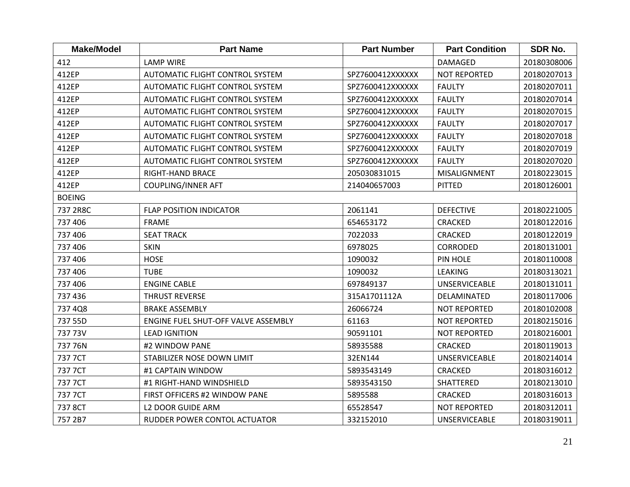| <b>Make/Model</b> | <b>Part Name</b>                       | <b>Part Number</b> | <b>Part Condition</b> | <b>SDR No.</b> |
|-------------------|----------------------------------------|--------------------|-----------------------|----------------|
| 412               | <b>LAMP WIRE</b>                       |                    | <b>DAMAGED</b>        | 20180308006    |
| 412EP             | <b>AUTOMATIC FLIGHT CONTROL SYSTEM</b> | SPZ7600412XXXXXX   | <b>NOT REPORTED</b>   | 20180207013    |
| 412EP             | AUTOMATIC FLIGHT CONTROL SYSTEM        | SPZ7600412XXXXXX   | <b>FAULTY</b>         | 20180207011    |
| 412EP             | <b>AUTOMATIC FLIGHT CONTROL SYSTEM</b> | SPZ7600412XXXXXX   | <b>FAULTY</b>         | 20180207014    |
| 412EP             | <b>AUTOMATIC FLIGHT CONTROL SYSTEM</b> | SPZ7600412XXXXXX   | <b>FAULTY</b>         | 20180207015    |
| 412EP             | <b>AUTOMATIC FLIGHT CONTROL SYSTEM</b> | SPZ7600412XXXXXX   | <b>FAULTY</b>         | 20180207017    |
| 412EP             | AUTOMATIC FLIGHT CONTROL SYSTEM        | SPZ7600412XXXXXX   | <b>FAULTY</b>         | 20180207018    |
| 412EP             | AUTOMATIC FLIGHT CONTROL SYSTEM        | SPZ7600412XXXXXX   | <b>FAULTY</b>         | 20180207019    |
| 412EP             | <b>AUTOMATIC FLIGHT CONTROL SYSTEM</b> | SPZ7600412XXXXXX   | <b>FAULTY</b>         | 20180207020    |
| 412EP             | RIGHT-HAND BRACE                       | 205030831015       | MISALIGNMENT          | 20180223015    |
| 412EP             | <b>COUPLING/INNER AFT</b>              | 214040657003       | PITTED                | 20180126001    |
| <b>BOEING</b>     |                                        |                    |                       |                |
| 737 2R8C          | <b>FLAP POSITION INDICATOR</b>         | 2061141            | <b>DEFECTIVE</b>      | 20180221005    |
| 737 406           | <b>FRAME</b>                           | 654653172          | <b>CRACKED</b>        | 20180122016    |
| 737 406           | <b>SEAT TRACK</b>                      | 7022033            | <b>CRACKED</b>        | 20180122019    |
| 737 406           | <b>SKIN</b>                            | 6978025            | CORRODED              | 20180131001    |
| 737 406           | <b>HOSE</b>                            | 1090032            | PIN HOLE              | 20180110008    |
| 737 406           | <b>TUBE</b>                            | 1090032            | <b>LEAKING</b>        | 20180313021    |
| 737 406           | <b>ENGINE CABLE</b>                    | 697849137          | <b>UNSERVICEABLE</b>  | 20180131011    |
| 737 436           | THRUST REVERSE                         | 315A1701112A       | DELAMINATED           | 20180117006    |
| 737 4Q8           | <b>BRAKE ASSEMBLY</b>                  | 26066724           | <b>NOT REPORTED</b>   | 20180102008    |
| 737 55D           | ENGINE FUEL SHUT-OFF VALVE ASSEMBLY    | 61163              | <b>NOT REPORTED</b>   | 20180215016    |
| 737 73V           | <b>LEAD IGNITION</b>                   | 90591101           | <b>NOT REPORTED</b>   | 20180216001    |
| 737 76N           | #2 WINDOW PANE                         | 58935588           | <b>CRACKED</b>        | 20180119013    |
| 737 7CT           | STABILIZER NOSE DOWN LIMIT             | 32EN144            | <b>UNSERVICEABLE</b>  | 20180214014    |
| 737 7CT           | #1 CAPTAIN WINDOW                      | 5893543149         | <b>CRACKED</b>        | 20180316012    |
| 737 7CT           | #1 RIGHT-HAND WINDSHIELD               | 5893543150         | SHATTERED             | 20180213010    |
| 737 7CT           | FIRST OFFICERS #2 WINDOW PANE          | 5895588            | <b>CRACKED</b>        | 20180316013    |
| 737 8CT           | <b>L2 DOOR GUIDE ARM</b>               | 65528547           | NOT REPORTED          | 20180312011    |
| 757 2B7           | RUDDER POWER CONTOL ACTUATOR           | 332152010          | <b>UNSERVICEABLE</b>  | 20180319011    |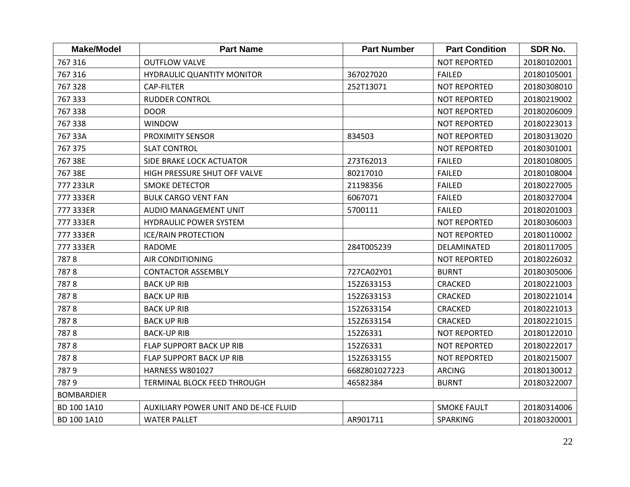| <b>Make/Model</b> | <b>Part Name</b>                      | <b>Part Number</b> | <b>Part Condition</b> | SDR No.     |
|-------------------|---------------------------------------|--------------------|-----------------------|-------------|
| 767 316           | <b>OUTFLOW VALVE</b>                  |                    | <b>NOT REPORTED</b>   | 20180102001 |
| 767 316           | HYDRAULIC QUANTITY MONITOR            | 367027020          | <b>FAILED</b>         | 20180105001 |
| 767 328           | <b>CAP-FILTER</b>                     | 252T13071          | <b>NOT REPORTED</b>   | 20180308010 |
| 767 333           | <b>RUDDER CONTROL</b>                 |                    | <b>NOT REPORTED</b>   | 20180219002 |
| 767 338           | <b>DOOR</b>                           |                    | <b>NOT REPORTED</b>   | 20180206009 |
| 767 338           | <b>WINDOW</b>                         |                    | <b>NOT REPORTED</b>   | 20180223013 |
| 767 33A           | PROXIMITY SENSOR                      | 834503             | <b>NOT REPORTED</b>   | 20180313020 |
| 767 375           | <b>SLAT CONTROL</b>                   |                    | <b>NOT REPORTED</b>   | 20180301001 |
| 767 38E           | <b>SIDE BRAKE LOCK ACTUATOR</b>       | 273T62013          | <b>FAILED</b>         | 20180108005 |
| 767 38E           | HIGH PRESSURE SHUT OFF VALVE          | 80217010           | <b>FAILED</b>         | 20180108004 |
| 777 233LR         | <b>SMOKE DETECTOR</b>                 | 21198356           | <b>FAILED</b>         | 20180227005 |
| 777 333ER         | <b>BULK CARGO VENT FAN</b>            | 6067071            | <b>FAILED</b>         | 20180327004 |
| 777 333ER         | AUDIO MANAGEMENT UNIT                 | 5700111            | <b>FAILED</b>         | 20180201003 |
| 777 333ER         | <b>HYDRAULIC POWER SYSTEM</b>         |                    | <b>NOT REPORTED</b>   | 20180306003 |
| 777 333ER         | <b>ICE/RAIN PROTECTION</b>            |                    | <b>NOT REPORTED</b>   | 20180110002 |
| 777 333ER         | <b>RADOME</b>                         | 284T005239         | DELAMINATED           | 20180117005 |
| 7878              | <b>AIR CONDITIONING</b>               |                    | <b>NOT REPORTED</b>   | 20180226032 |
| 7878              | <b>CONTACTOR ASSEMBLY</b>             | 727CA02Y01         | <b>BURNT</b>          | 20180305006 |
| 7878              | <b>BACK UP RIB</b>                    | 152Z633153         | <b>CRACKED</b>        | 20180221003 |
| 7878              | <b>BACK UP RIB</b>                    | 152Z633153         | <b>CRACKED</b>        | 20180221014 |
| 7878              | <b>BACK UP RIB</b>                    | 152Z633154         | <b>CRACKED</b>        | 20180221013 |
| 7878              | <b>BACK UP RIB</b>                    | 152Z633154         | CRACKED               | 20180221015 |
| 7878              | <b>BACK-UP RIB</b>                    | 152Z6331           | <b>NOT REPORTED</b>   | 20180122010 |
| 7878              | FLAP SUPPORT BACK UP RIB              | 152Z6331           | <b>NOT REPORTED</b>   | 20180222017 |
| 7878              | FLAP SUPPORT BACK UP RIB              | 152Z633155         | <b>NOT REPORTED</b>   | 20180215007 |
| 7879              | <b>HARNESS W801027</b>                | 668Z801027223      | <b>ARCING</b>         | 20180130012 |
| 7879              | TERMINAL BLOCK FEED THROUGH           | 46582384           | <b>BURNT</b>          | 20180322007 |
| <b>BOMBARDIER</b> |                                       |                    |                       |             |
| BD 100 1A10       | AUXILIARY POWER UNIT AND DE-ICE FLUID |                    | <b>SMOKE FAULT</b>    | 20180314006 |
| BD 100 1A10       | <b>WATER PALLET</b>                   | AR901711           | SPARKING              | 20180320001 |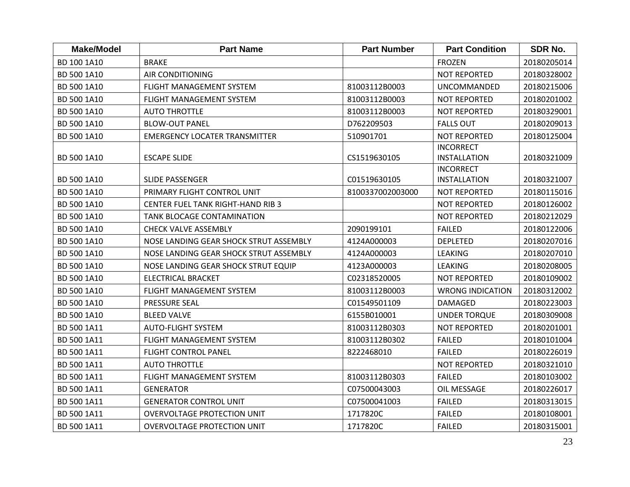| <b>Make/Model</b> | <b>Part Name</b>                         | <b>Part Number</b> | <b>Part Condition</b>                   | <b>SDR No.</b> |
|-------------------|------------------------------------------|--------------------|-----------------------------------------|----------------|
| BD 100 1A10       | <b>BRAKE</b>                             |                    | <b>FROZEN</b>                           | 20180205014    |
| BD 500 1A10       | <b>AIR CONDITIONING</b>                  |                    | <b>NOT REPORTED</b>                     | 20180328002    |
| BD 500 1A10       | FLIGHT MANAGEMENT SYSTEM                 | 81003112B0003      | <b>UNCOMMANDED</b>                      | 20180215006    |
| BD 500 1A10       | <b>FLIGHT MANAGEMENT SYSTEM</b>          | 81003112B0003      | <b>NOT REPORTED</b>                     | 20180201002    |
| BD 500 1A10       | <b>AUTO THROTTLE</b>                     | 81003112B0003      | <b>NOT REPORTED</b>                     | 20180329001    |
| BD 500 1A10       | <b>BLOW-OUT PANEL</b>                    | D762209503         | <b>FALLS OUT</b>                        | 20180209013    |
| BD 500 1A10       | <b>EMERGENCY LOCATER TRANSMITTER</b>     | 510901701          | <b>NOT REPORTED</b>                     | 20180125004    |
| BD 500 1A10       | <b>ESCAPE SLIDE</b>                      | CS1519630105       | <b>INCORRECT</b><br><b>INSTALLATION</b> | 20180321009    |
| BD 500 1A10       | SLIDE PASSENGER                          | C01519630105       | <b>INCORRECT</b><br><b>INSTALLATION</b> | 20180321007    |
| BD 500 1A10       | PRIMARY FLIGHT CONTROL UNIT              | 8100337002003000   | <b>NOT REPORTED</b>                     | 20180115016    |
| BD 500 1A10       | <b>CENTER FUEL TANK RIGHT-HAND RIB 3</b> |                    | <b>NOT REPORTED</b>                     | 20180126002    |
| BD 500 1A10       | TANK BLOCAGE CONTAMINATION               |                    | <b>NOT REPORTED</b>                     | 20180212029    |
| BD 500 1A10       | <b>CHECK VALVE ASSEMBLY</b>              | 2090199101         | <b>FAILED</b>                           | 20180122006    |
| BD 500 1A10       | NOSE LANDING GEAR SHOCK STRUT ASSEMBLY   | 4124A000003        | <b>DEPLETED</b>                         | 20180207016    |
| BD 500 1A10       | NOSE LANDING GEAR SHOCK STRUT ASSEMBLY   | 4124A000003        | LEAKING                                 | 20180207010    |
| BD 500 1A10       | NOSE LANDING GEAR SHOCK STRUT EQUIP      | 4123A000003        | <b>LEAKING</b>                          | 20180208005    |
| BD 500 1A10       | <b>ELECTRICAL BRACKET</b>                | C02318520005       | <b>NOT REPORTED</b>                     | 20180109002    |
| BD 500 1A10       | FLIGHT MANAGEMENT SYSTEM                 | 81003112B0003      | <b>WRONG INDICATION</b>                 | 20180312002    |
| BD 500 1A10       | PRESSURE SEAL                            | C01549501109       | <b>DAMAGED</b>                          | 20180223003    |
| BD 500 1A10       | <b>BLEED VALVE</b>                       | 6155B010001        | <b>UNDER TORQUE</b>                     | 20180309008    |
| BD 500 1A11       | <b>AUTO-FLIGHT SYSTEM</b>                | 81003112B0303      | <b>NOT REPORTED</b>                     | 20180201001    |
| BD 500 1A11       | FLIGHT MANAGEMENT SYSTEM                 | 81003112B0302      | <b>FAILED</b>                           | 20180101004    |
| BD 500 1A11       | <b>FLIGHT CONTROL PANEL</b>              | 8222468010         | <b>FAILED</b>                           | 20180226019    |
| BD 500 1A11       | <b>AUTO THROTTLE</b>                     |                    | <b>NOT REPORTED</b>                     | 20180321010    |
| BD 500 1A11       | FLIGHT MANAGEMENT SYSTEM                 | 81003112B0303      | <b>FAILED</b>                           | 20180103002    |
| BD 500 1A11       | <b>GENERATOR</b>                         | C07500043003       | OIL MESSAGE                             | 20180226017    |
| BD 500 1A11       | <b>GENERATOR CONTROL UNIT</b>            | C07500041003       | <b>FAILED</b>                           | 20180313015    |
| BD 500 1A11       | <b>OVERVOLTAGE PROTECTION UNIT</b>       | 1717820C           | <b>FAILED</b>                           | 20180108001    |
| BD 500 1A11       | OVERVOLTAGE PROTECTION UNIT              | 1717820C           | <b>FAILED</b>                           | 20180315001    |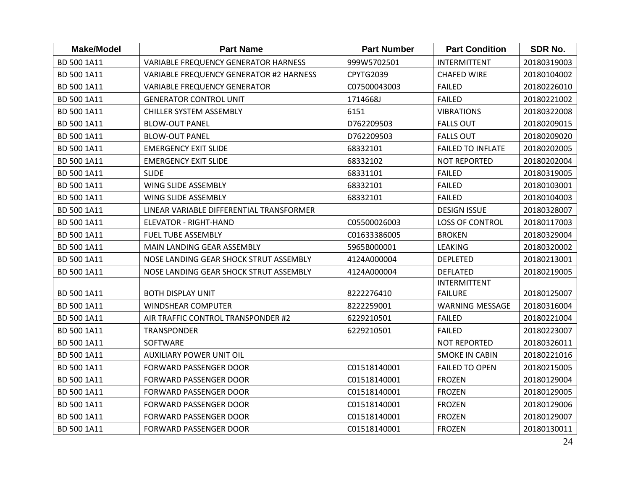| <b>Make/Model</b> | <b>Part Name</b>                               | <b>Part Number</b> | <b>Part Condition</b>    | SDR No.     |
|-------------------|------------------------------------------------|--------------------|--------------------------|-------------|
| BD 500 1A11       | <b>VARIABLE FREQUENCY GENERATOR HARNESS</b>    | 999W5702501        | <b>INTERMITTENT</b>      | 20180319003 |
| BD 500 1A11       | <b>VARIABLE FREQUENCY GENERATOR #2 HARNESS</b> | CPYTG2039          | <b>CHAFED WIRE</b>       | 20180104002 |
| BD 500 1A11       | <b>VARIABLE FREQUENCY GENERATOR</b>            | C07500043003       | <b>FAILED</b>            | 20180226010 |
| BD 500 1A11       | <b>GENERATOR CONTROL UNIT</b>                  | 1714668J           | <b>FAILED</b>            | 20180221002 |
| BD 500 1A11       | <b>CHILLER SYSTEM ASSEMBLY</b>                 | 6151               | <b>VIBRATIONS</b>        | 20180322008 |
| BD 500 1A11       | <b>BLOW-OUT PANEL</b>                          | D762209503         | <b>FALLS OUT</b>         | 20180209015 |
| BD 500 1A11       | <b>BLOW-OUT PANEL</b>                          | D762209503         | <b>FALLS OUT</b>         | 20180209020 |
| BD 500 1A11       | <b>EMERGENCY EXIT SLIDE</b>                    | 68332101           | <b>FAILED TO INFLATE</b> | 20180202005 |
| BD 500 1A11       | <b>EMERGENCY EXIT SLIDE</b>                    | 68332102           | <b>NOT REPORTED</b>      | 20180202004 |
| BD 500 1A11       | <b>SLIDE</b>                                   | 68331101           | <b>FAILED</b>            | 20180319005 |
| BD 500 1A11       | WING SLIDE ASSEMBLY                            | 68332101           | <b>FAILED</b>            | 20180103001 |
| BD 500 1A11       | WING SLIDE ASSEMBLY                            | 68332101           | <b>FAILED</b>            | 20180104003 |
| BD 500 1A11       | LINEAR VARIABLE DIFFERENTIAL TRANSFORMER       |                    | <b>DESIGN ISSUE</b>      | 20180328007 |
| BD 500 1A11       | <b>ELEVATOR - RIGHT-HAND</b>                   | C05500026003       | <b>LOSS OF CONTROL</b>   | 20180117003 |
| BD 500 1A11       | <b>FUEL TUBE ASSEMBLY</b>                      | C01633386005       | <b>BROKEN</b>            | 20180329004 |
| BD 500 1A11       | MAIN LANDING GEAR ASSEMBLY                     | 5965B000001        | <b>LEAKING</b>           | 20180320002 |
| BD 500 1A11       | NOSE LANDING GEAR SHOCK STRUT ASSEMBLY         | 4124A000004        | <b>DEPLETED</b>          | 20180213001 |
| BD 500 1A11       | NOSE LANDING GEAR SHOCK STRUT ASSEMBLY         | 4124A000004        | <b>DEFLATED</b>          | 20180219005 |
|                   |                                                |                    | INTERMITTENT             |             |
| BD 500 1A11       | <b>BOTH DISPLAY UNIT</b>                       | 8222276410         | <b>FAILURE</b>           | 20180125007 |
| BD 500 1A11       | <b>WINDSHEAR COMPUTER</b>                      | 8222259001         | <b>WARNING MESSAGE</b>   | 20180316004 |
| BD 500 1A11       | AIR TRAFFIC CONTROL TRANSPONDER #2             | 6229210501         | <b>FAILED</b>            | 20180221004 |
| BD 500 1A11       | <b>TRANSPONDER</b>                             | 6229210501         | <b>FAILED</b>            | 20180223007 |
| BD 500 1A11       | SOFTWARE                                       |                    | <b>NOT REPORTED</b>      | 20180326011 |
| BD 500 1A11       | <b>AUXILIARY POWER UNIT OIL</b>                |                    | <b>SMOKE IN CABIN</b>    | 20180221016 |
| BD 500 1A11       | <b>FORWARD PASSENGER DOOR</b>                  | C01518140001       | <b>FAILED TO OPEN</b>    | 20180215005 |
| BD 500 1A11       | <b>FORWARD PASSENGER DOOR</b>                  | C01518140001       | <b>FROZEN</b>            | 20180129004 |
| BD 500 1A11       | <b>FORWARD PASSENGER DOOR</b>                  | C01518140001       | <b>FROZEN</b>            | 20180129005 |
| BD 500 1A11       | <b>FORWARD PASSENGER DOOR</b>                  | C01518140001       | <b>FROZEN</b>            | 20180129006 |
| BD 500 1A11       | <b>FORWARD PASSENGER DOOR</b>                  | C01518140001       | <b>FROZEN</b>            | 20180129007 |
| BD 500 1A11       | <b>FORWARD PASSENGER DOOR</b>                  | C01518140001       | <b>FROZEN</b>            | 20180130011 |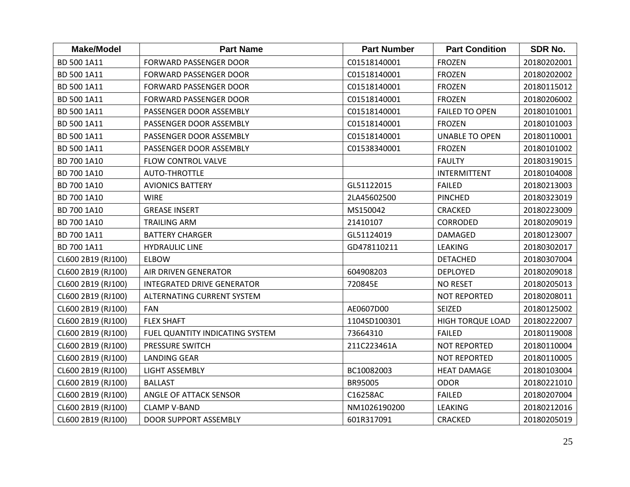| <b>Make/Model</b>  | <b>Part Name</b>                | <b>Part Number</b> | <b>Part Condition</b>   | SDR No.     |
|--------------------|---------------------------------|--------------------|-------------------------|-------------|
| BD 500 1A11        | <b>FORWARD PASSENGER DOOR</b>   | C01518140001       | <b>FROZEN</b>           | 20180202001 |
| BD 500 1A11        | <b>FORWARD PASSENGER DOOR</b>   | C01518140001       | <b>FROZEN</b>           | 20180202002 |
| BD 500 1A11        | <b>FORWARD PASSENGER DOOR</b>   | C01518140001       | <b>FROZEN</b>           | 20180115012 |
| BD 500 1A11        | <b>FORWARD PASSENGER DOOR</b>   | C01518140001       | <b>FROZEN</b>           | 20180206002 |
| BD 500 1A11        | PASSENGER DOOR ASSEMBLY         | C01518140001       | <b>FAILED TO OPEN</b>   | 20180101001 |
| BD 500 1A11        | PASSENGER DOOR ASSEMBLY         | C01518140001       | <b>FROZEN</b>           | 20180101003 |
| BD 500 1A11        | PASSENGER DOOR ASSEMBLY         | C01518140001       | <b>UNABLE TO OPEN</b>   | 20180110001 |
| BD 500 1A11        | PASSENGER DOOR ASSEMBLY         | C01538340001       | <b>FROZEN</b>           | 20180101002 |
| BD 700 1A10        | FLOW CONTROL VALVE              |                    | <b>FAULTY</b>           | 20180319015 |
| BD 700 1A10        | <b>AUTO-THROTTLE</b>            |                    | <b>INTERMITTENT</b>     | 20180104008 |
| BD 700 1A10        | <b>AVIONICS BATTERY</b>         | GL51122015         | <b>FAILED</b>           | 20180213003 |
| BD 700 1A10        | <b>WIRE</b>                     | 2LA45602500        | <b>PINCHED</b>          | 20180323019 |
| BD 700 1A10        | <b>GREASE INSERT</b>            | MS150042           | <b>CRACKED</b>          | 20180223009 |
| BD 700 1A10        | <b>TRAILING ARM</b>             | 21410107           | <b>CORRODED</b>         | 20180209019 |
| BD 700 1A11        | <b>BATTERY CHARGER</b>          | GL51124019         | <b>DAMAGED</b>          | 20180123007 |
| BD 700 1A11        | <b>HYDRAULIC LINE</b>           | GD478110211        | <b>LEAKING</b>          | 20180302017 |
| CL600 2B19 (RJ100) | <b>ELBOW</b>                    |                    | <b>DETACHED</b>         | 20180307004 |
| CL600 2B19 (RJ100) | AIR DRIVEN GENERATOR            | 604908203          | <b>DEPLOYED</b>         | 20180209018 |
| CL600 2B19 (RJ100) | INTEGRATED DRIVE GENERATOR      | 720845E            | <b>NO RESET</b>         | 20180205013 |
| CL600 2B19 (RJ100) | ALTERNATING CURRENT SYSTEM      |                    | <b>NOT REPORTED</b>     | 20180208011 |
| CL600 2B19 (RJ100) | <b>FAN</b>                      | AE0607D00          | SEIZED                  | 20180125002 |
| CL600 2B19 (RJ100) | <b>FLEX SHAFT</b>               | 1104SD100301       | <b>HIGH TORQUE LOAD</b> | 20180222007 |
| CL600 2B19 (RJ100) | FUEL QUANTITY INDICATING SYSTEM | 73664310           | <b>FAILED</b>           | 20180119008 |
| CL600 2B19 (RJ100) | PRESSURE SWITCH                 | 211C223461A        | <b>NOT REPORTED</b>     | 20180110004 |
| CL600 2B19 (RJ100) | <b>LANDING GEAR</b>             |                    | <b>NOT REPORTED</b>     | 20180110005 |
| CL600 2B19 (RJ100) | <b>LIGHT ASSEMBLY</b>           | BC10082003         | <b>HEAT DAMAGE</b>      | 20180103004 |
| CL600 2B19 (RJ100) | <b>BALLAST</b>                  | BR95005            | <b>ODOR</b>             | 20180221010 |
| CL600 2B19 (RJ100) | ANGLE OF ATTACK SENSOR          | C16258AC           | <b>FAILED</b>           | 20180207004 |
| CL600 2B19 (RJ100) | <b>CLAMP V-BAND</b>             | NM1026190200       | <b>LEAKING</b>          | 20180212016 |
| CL600 2B19 (RJ100) | <b>DOOR SUPPORT ASSEMBLY</b>    | 601R317091         | <b>CRACKED</b>          | 20180205019 |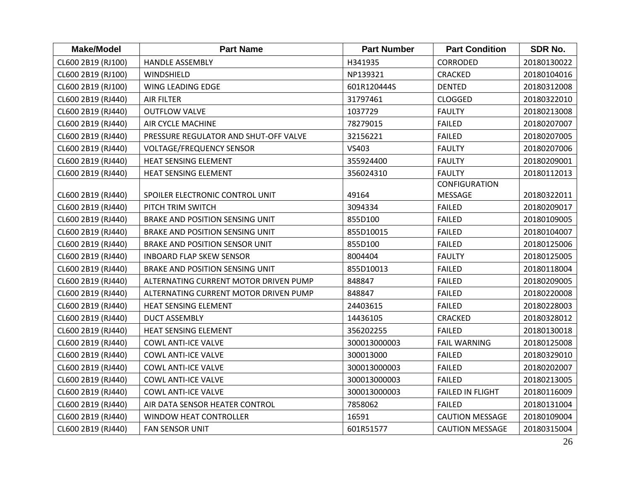| <b>Make/Model</b>  | <b>Part Name</b>                      | <b>Part Number</b> | <b>Part Condition</b>   | SDR No.     |
|--------------------|---------------------------------------|--------------------|-------------------------|-------------|
| CL600 2B19 (RJ100) | <b>HANDLE ASSEMBLY</b>                | H341935            | <b>CORRODED</b>         | 20180130022 |
| CL600 2B19 (RJ100) | WINDSHIELD                            | NP139321           | CRACKED                 | 20180104016 |
| CL600 2B19 (RJ100) | WING LEADING EDGE                     | 601R120444S        | <b>DENTED</b>           | 20180312008 |
| CL600 2B19 (RJ440) | <b>AIR FILTER</b>                     | 31797461           | <b>CLOGGED</b>          | 20180322010 |
| CL600 2B19 (RJ440) | <b>OUTFLOW VALVE</b>                  | 1037729            | <b>FAULTY</b>           | 20180213008 |
| CL600 2B19 (RJ440) | AIR CYCLE MACHINE                     | 78279015           | <b>FAILED</b>           | 20180207007 |
| CL600 2B19 (RJ440) | PRESSURE REGULATOR AND SHUT-OFF VALVE | 32156221           | <b>FAILED</b>           | 20180207005 |
| CL600 2B19 (RJ440) | <b>VOLTAGE/FREQUENCY SENSOR</b>       | VS403              | <b>FAULTY</b>           | 20180207006 |
| CL600 2B19 (RJ440) | HEAT SENSING ELEMENT                  | 355924400          | <b>FAULTY</b>           | 20180209001 |
| CL600 2B19 (RJ440) | <b>HEAT SENSING ELEMENT</b>           | 356024310          | <b>FAULTY</b>           | 20180112013 |
|                    |                                       |                    | <b>CONFIGURATION</b>    |             |
| CL600 2B19 (RJ440) | SPOILER ELECTRONIC CONTROL UNIT       | 49164              | <b>MESSAGE</b>          | 20180322011 |
| CL600 2B19 (RJ440) | PITCH TRIM SWITCH                     | 3094334            | <b>FAILED</b>           | 20180209017 |
| CL600 2B19 (RJ440) | BRAKE AND POSITION SENSING UNIT       | 855D100            | <b>FAILED</b>           | 20180109005 |
| CL600 2B19 (RJ440) | BRAKE AND POSITION SENSING UNIT       | 855D10015          | <b>FAILED</b>           | 20180104007 |
| CL600 2B19 (RJ440) | BRAKE AND POSITION SENSOR UNIT        | 855D100            | <b>FAILED</b>           | 20180125006 |
| CL600 2B19 (RJ440) | <b>INBOARD FLAP SKEW SENSOR</b>       | 8004404            | <b>FAULTY</b>           | 20180125005 |
| CL600 2B19 (RJ440) | BRAKE AND POSITION SENSING UNIT       | 855D10013          | <b>FAILED</b>           | 20180118004 |
| CL600 2B19 (RJ440) | ALTERNATING CURRENT MOTOR DRIVEN PUMP | 848847             | <b>FAILED</b>           | 20180209005 |
| CL600 2B19 (RJ440) | ALTERNATING CURRENT MOTOR DRIVEN PUMP | 848847             | <b>FAILED</b>           | 20180220008 |
| CL600 2B19 (RJ440) | HEAT SENSING ELEMENT                  | 24403615           | <b>FAILED</b>           | 20180228003 |
| CL600 2B19 (RJ440) | <b>DUCT ASSEMBLY</b>                  | 14436105           | CRACKED                 | 20180328012 |
| CL600 2B19 (RJ440) | <b>HEAT SENSING ELEMENT</b>           | 356202255          | <b>FAILED</b>           | 20180130018 |
| CL600 2B19 (RJ440) | <b>COWL ANTI-ICE VALVE</b>            | 300013000003       | <b>FAIL WARNING</b>     | 20180125008 |
| CL600 2B19 (RJ440) | <b>COWL ANTI-ICE VALVE</b>            | 300013000          | <b>FAILED</b>           | 20180329010 |
| CL600 2B19 (RJ440) | <b>COWL ANTI-ICE VALVE</b>            | 300013000003       | <b>FAILED</b>           | 20180202007 |
| CL600 2B19 (RJ440) | <b>COWL ANTI-ICE VALVE</b>            | 300013000003       | <b>FAILED</b>           | 20180213005 |
| CL600 2B19 (RJ440) | <b>COWL ANTI-ICE VALVE</b>            | 300013000003       | <b>FAILED IN FLIGHT</b> | 20180116009 |
| CL600 2B19 (RJ440) | AIR DATA SENSOR HEATER CONTROL        | 7858062            | <b>FAILED</b>           | 20180131004 |
| CL600 2B19 (RJ440) | <b>WINDOW HEAT CONTROLLER</b>         | 16591              | <b>CAUTION MESSAGE</b>  | 20180109004 |
| CL600 2B19 (RJ440) | FAN SENSOR UNIT                       | 601R51577          | <b>CAUTION MESSAGE</b>  | 20180315004 |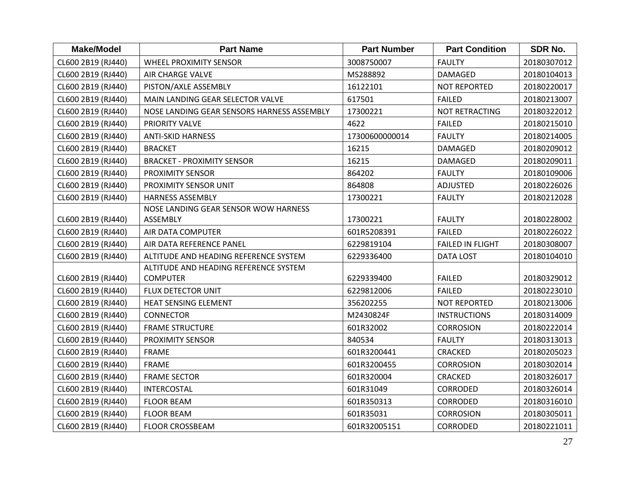| <b>Make/Model</b>  | <b>Part Name</b>                           | <b>Part Number</b> | <b>Part Condition</b>   | <b>SDR No.</b> |
|--------------------|--------------------------------------------|--------------------|-------------------------|----------------|
| CL600 2B19 (RJ440) | <b>WHEEL PROXIMITY SENSOR</b>              | 3008750007         | <b>FAULTY</b>           | 20180307012    |
| CL600 2B19 (RJ440) | <b>AIR CHARGE VALVE</b>                    | MS288892           | DAMAGED                 | 20180104013    |
| CL600 2B19 (RJ440) | PISTON/AXLE ASSEMBLY                       | 16122101           | <b>NOT REPORTED</b>     | 20180220017    |
| CL600 2B19 (RJ440) | MAIN LANDING GEAR SELECTOR VALVE           | 617501             | <b>FAILED</b>           | 20180213007    |
| CL600 2B19 (RJ440) | NOSE LANDING GEAR SENSORS HARNESS ASSEMBLY | 17300221           | NOT RETRACTING          | 20180322012    |
| CL600 2B19 (RJ440) | PRIORITY VALVE                             | 4622               | <b>FAILED</b>           | 20180215010    |
| CL600 2B19 (RJ440) | <b>ANTI-SKID HARNESS</b>                   | 17300600000014     | <b>FAULTY</b>           | 20180214005    |
| CL600 2B19 (RJ440) | <b>BRACKET</b>                             | 16215              | DAMAGED                 | 20180209012    |
| CL600 2B19 (RJ440) | <b>BRACKET - PROXIMITY SENSOR</b>          | 16215              | <b>DAMAGED</b>          | 20180209011    |
| CL600 2B19 (RJ440) | PROXIMITY SENSOR                           | 864202             | <b>FAULTY</b>           | 20180109006    |
| CL600 2B19 (RJ440) | PROXIMITY SENSOR UNIT                      | 864808             | ADJUSTED                | 20180226026    |
| CL600 2B19 (RJ440) | <b>HARNESS ASSEMBLY</b>                    | 17300221           | <b>FAULTY</b>           | 20180212028    |
|                    | NOSE LANDING GEAR SENSOR WOW HARNESS       |                    |                         |                |
| CL600 2B19 (RJ440) | ASSEMBLY                                   | 17300221           | <b>FAULTY</b>           | 20180228002    |
| CL600 2B19 (RJ440) | AIR DATA COMPUTER                          | 601R5208391        | <b>FAILED</b>           | 20180226022    |
| CL600 2B19 (RJ440) | AIR DATA REFERENCE PANEL                   | 6229819104         | <b>FAILED IN FLIGHT</b> | 20180308007    |
| CL600 2B19 (RJ440) | ALTITUDE AND HEADING REFERENCE SYSTEM      | 6229336400         | <b>DATA LOST</b>        | 20180104010    |
|                    | ALTITUDE AND HEADING REFERENCE SYSTEM      |                    |                         |                |
| CL600 2B19 (RJ440) | <b>COMPUTER</b>                            | 6229339400         | <b>FAILED</b>           | 20180329012    |
| CL600 2B19 (RJ440) | FLUX DETECTOR UNIT                         | 6229812006         | <b>FAILED</b>           | 20180223010    |
| CL600 2B19 (RJ440) | HEAT SENSING ELEMENT                       | 356202255          | <b>NOT REPORTED</b>     | 20180213006    |
| CL600 2B19 (RJ440) | <b>CONNECTOR</b>                           | M2430824F          | <b>INSTRUCTIONS</b>     | 20180314009    |
| CL600 2B19 (RJ440) | <b>FRAME STRUCTURE</b>                     | 601R32002          | <b>CORROSION</b>        | 20180222014    |
| CL600 2B19 (RJ440) | PROXIMITY SENSOR                           | 840534             | <b>FAULTY</b>           | 20180313013    |
| CL600 2B19 (RJ440) | FRAME                                      | 601R3200441        | <b>CRACKED</b>          | 20180205023    |
| CL600 2B19 (RJ440) | <b>FRAME</b>                               | 601R3200455        | <b>CORROSION</b>        | 20180302014    |
| CL600 2B19 (RJ440) | <b>FRAME SECTOR</b>                        | 601R320004         | <b>CRACKED</b>          | 20180326017    |
| CL600 2B19 (RJ440) | <b>INTERCOSTAL</b>                         | 601R31049          | CORRODED                | 20180326014    |
| CL600 2B19 (RJ440) | <b>FLOOR BEAM</b>                          | 601R350313         | <b>CORRODED</b>         | 20180316010    |
| CL600 2B19 (RJ440) | <b>FLOOR BEAM</b>                          | 601R35031          | <b>CORROSION</b>        | 20180305011    |
| CL600 2B19 (RJ440) | <b>FLOOR CROSSBEAM</b>                     | 601R32005151       | <b>CORRODED</b>         | 20180221011    |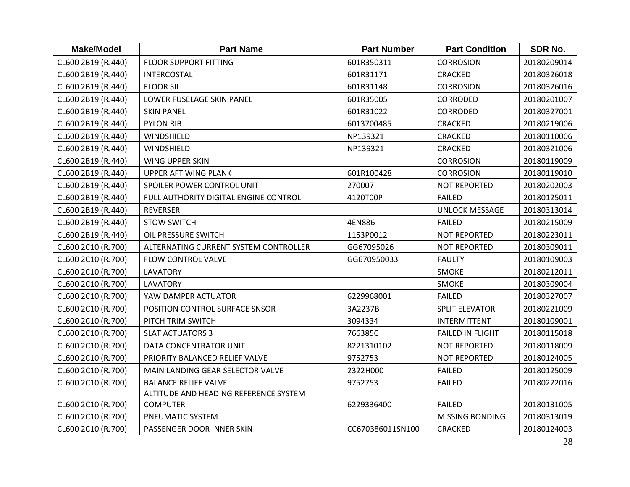| <b>Make/Model</b>  | <b>Part Name</b>                      | <b>Part Number</b> | <b>Part Condition</b>   | <b>SDR No.</b> |
|--------------------|---------------------------------------|--------------------|-------------------------|----------------|
| CL600 2B19 (RJ440) | <b>FLOOR SUPPORT FITTING</b>          | 601R350311         | <b>CORROSION</b>        | 20180209014    |
| CL600 2B19 (RJ440) | <b>INTERCOSTAL</b>                    | 601R31171          | <b>CRACKED</b>          | 20180326018    |
| CL600 2B19 (RJ440) | <b>FLOOR SILL</b>                     | 601R31148          | <b>CORROSION</b>        | 20180326016    |
| CL600 2B19 (RJ440) | LOWER FUSELAGE SKIN PANEL             | 601R35005          | <b>CORRODED</b>         | 20180201007    |
| CL600 2B19 (RJ440) | <b>SKIN PANEL</b>                     | 601R31022          | <b>CORRODED</b>         | 20180327001    |
| CL600 2B19 (RJ440) | <b>PYLON RIB</b>                      | 6013700485         | <b>CRACKED</b>          | 20180219006    |
| CL600 2B19 (RJ440) | WINDSHIELD                            | NP139321           | <b>CRACKED</b>          | 20180110006    |
| CL600 2B19 (RJ440) | WINDSHIELD                            | NP139321           | <b>CRACKED</b>          | 20180321006    |
| CL600 2B19 (RJ440) | WING UPPER SKIN                       |                    | <b>CORROSION</b>        | 20180119009    |
| CL600 2B19 (RJ440) | <b>UPPER AFT WING PLANK</b>           | 601R100428         | <b>CORROSION</b>        | 20180119010    |
| CL600 2B19 (RJ440) | SPOILER POWER CONTROL UNIT            | 270007             | <b>NOT REPORTED</b>     | 20180202003    |
| CL600 2B19 (RJ440) | FULL AUTHORITY DIGITAL ENGINE CONTROL | 4120T00P           | <b>FAILED</b>           | 20180125011    |
| CL600 2B19 (RJ440) | REVERSER                              |                    | <b>UNLOCK MESSAGE</b>   | 20180313014    |
| CL600 2B19 (RJ440) | <b>STOW SWITCH</b>                    | 4EN886             | <b>FAILED</b>           | 20180215009    |
| CL600 2B19 (RJ440) | OIL PRESSURE SWITCH                   | 1153P0012          | <b>NOT REPORTED</b>     | 20180223011    |
| CL600 2C10 (RJ700) | ALTERNATING CURRENT SYSTEM CONTROLLER | GG67095026         | NOT REPORTED            | 20180309011    |
| CL600 2C10 (RJ700) | FLOW CONTROL VALVE                    | GG670950033        | <b>FAULTY</b>           | 20180109003    |
| CL600 2C10 (RJ700) | LAVATORY                              |                    | <b>SMOKE</b>            | 20180212011    |
| CL600 2C10 (RJ700) | <b>LAVATORY</b>                       |                    | <b>SMOKE</b>            | 20180309004    |
| CL600 2C10 (RJ700) | YAW DAMPER ACTUATOR                   | 6229968001         | <b>FAILED</b>           | 20180327007    |
| CL600 2C10 (RJ700) | POSITION CONTROL SURFACE SNSOR        | 3A2237B            | <b>SPLIT ELEVATOR</b>   | 20180221009    |
| CL600 2C10 (RJ700) | PITCH TRIM SWITCH                     | 3094334            | <b>INTERMITTENT</b>     | 20180109001    |
| CL600 2C10 (RJ700) | <b>SLAT ACTUATORS 3</b>               | 766385C            | <b>FAILED IN FLIGHT</b> | 20180115018    |
| CL600 2C10 (RJ700) | DATA CONCENTRATOR UNIT                | 8221310102         | <b>NOT REPORTED</b>     | 20180118009    |
| CL600 2C10 (RJ700) | PRIORITY BALANCED RELIEF VALVE        | 9752753            | <b>NOT REPORTED</b>     | 20180124005    |
| CL600 2C10 (RJ700) | MAIN LANDING GEAR SELECTOR VALVE      | 2322H000           | <b>FAILED</b>           | 20180125009    |
| CL600 2C10 (RJ700) | <b>BALANCE RELIEF VALVE</b>           | 9752753            | <b>FAILED</b>           | 20180222016    |
|                    | ALTITUDE AND HEADING REFERENCE SYSTEM |                    |                         |                |
| CL600 2C10 (RJ700) | <b>COMPUTER</b>                       | 6229336400         | <b>FAILED</b>           | 20180131005    |
| CL600 2C10 (RJ700) | PNEUMATIC SYSTEM                      |                    | <b>MISSING BONDING</b>  | 20180313019    |
| CL600 2C10 (RJ700) | PASSENGER DOOR INNER SKIN             | CC670386011SN100   | <b>CRACKED</b>          | 20180124003    |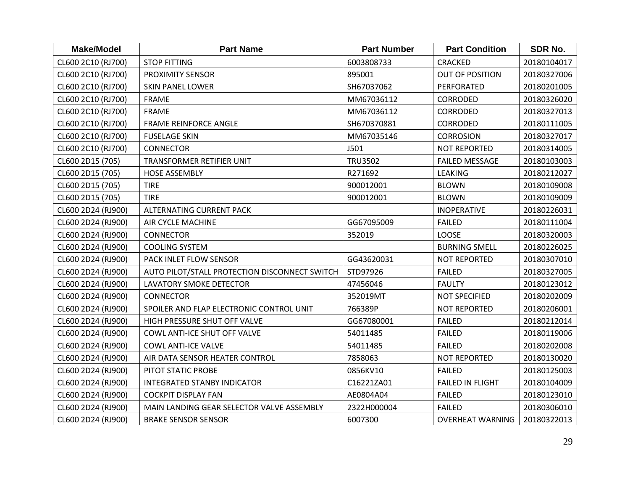| <b>Make/Model</b>  | <b>Part Name</b>                              | <b>Part Number</b> | <b>Part Condition</b>   | SDR No.     |
|--------------------|-----------------------------------------------|--------------------|-------------------------|-------------|
| CL600 2C10 (RJ700) | <b>STOP FITTING</b>                           | 6003808733         | <b>CRACKED</b>          | 20180104017 |
| CL600 2C10 (RJ700) | PROXIMITY SENSOR                              | 895001             | <b>OUT OF POSITION</b>  | 20180327006 |
| CL600 2C10 (RJ700) | <b>SKIN PANEL LOWER</b>                       | SH67037062         | PERFORATED              | 20180201005 |
| CL600 2C10 (RJ700) | <b>FRAME</b>                                  | MM67036112         | <b>CORRODED</b>         | 20180326020 |
| CL600 2C10 (RJ700) | <b>FRAME</b>                                  | MM67036112         | <b>CORRODED</b>         | 20180327013 |
| CL600 2C10 (RJ700) | FRAME REINFORCE ANGLE                         | SH670370881        | <b>CORRODED</b>         | 20180111005 |
| CL600 2C10 (RJ700) | <b>FUSELAGE SKIN</b>                          | MM67035146         | <b>CORROSION</b>        | 20180327017 |
| CL600 2C10 (RJ700) | <b>CONNECTOR</b>                              | J501               | <b>NOT REPORTED</b>     | 20180314005 |
| CL600 2D15 (705)   | TRANSFORMER RETIFIER UNIT                     | <b>TRU3502</b>     | <b>FAILED MESSAGE</b>   | 20180103003 |
| CL600 2D15 (705)   | <b>HOSE ASSEMBLY</b>                          | R271692            | <b>LEAKING</b>          | 20180212027 |
| CL600 2D15 (705)   | <b>TIRE</b>                                   | 900012001          | <b>BLOWN</b>            | 20180109008 |
| CL600 2D15 (705)   | <b>TIRE</b>                                   | 900012001          | <b>BLOWN</b>            | 20180109009 |
| CL600 2D24 (RJ900) | ALTERNATING CURRENT PACK                      |                    | <b>INOPERATIVE</b>      | 20180226031 |
| CL600 2D24 (RJ900) | AIR CYCLE MACHINE                             | GG67095009         | <b>FAILED</b>           | 20180111004 |
| CL600 2D24 (RJ900) | CONNECTOR                                     | 352019             | <b>LOOSE</b>            | 20180320003 |
| CL600 2D24 (RJ900) | <b>COOLING SYSTEM</b>                         |                    | <b>BURNING SMELL</b>    | 20180226025 |
| CL600 2D24 (RJ900) | PACK INLET FLOW SENSOR                        | GG43620031         | <b>NOT REPORTED</b>     | 20180307010 |
| CL600 2D24 (RJ900) | AUTO PILOT/STALL PROTECTION DISCONNECT SWITCH | STD97926           | <b>FAILED</b>           | 20180327005 |
| CL600 2D24 (RJ900) | <b>LAVATORY SMOKE DETECTOR</b>                | 47456046           | <b>FAULTY</b>           | 20180123012 |
| CL600 2D24 (RJ900) | <b>CONNECTOR</b>                              | 352019MT           | <b>NOT SPECIFIED</b>    | 20180202009 |
| CL600 2D24 (RJ900) | SPOILER AND FLAP ELECTRONIC CONTROL UNIT      | 766389P            | <b>NOT REPORTED</b>     | 20180206001 |
| CL600 2D24 (RJ900) | HIGH PRESSURE SHUT OFF VALVE                  | GG67080001         | <b>FAILED</b>           | 20180212014 |
| CL600 2D24 (RJ900) | COWL ANTI-ICE SHUT OFF VALVE                  | 54011485           | <b>FAILED</b>           | 20180119006 |
| CL600 2D24 (RJ900) | <b>COWL ANTI-ICE VALVE</b>                    | 54011485           | <b>FAILED</b>           | 20180202008 |
| CL600 2D24 (RJ900) | AIR DATA SENSOR HEATER CONTROL                | 7858063            | <b>NOT REPORTED</b>     | 20180130020 |
| CL600 2D24 (RJ900) | PITOT STATIC PROBE                            | 0856KV10           | <b>FAILED</b>           | 20180125003 |
| CL600 2D24 (RJ900) | <b>INTEGRATED STANBY INDICATOR</b>            | C16221ZA01         | <b>FAILED IN FLIGHT</b> | 20180104009 |
| CL600 2D24 (RJ900) | <b>COCKPIT DISPLAY FAN</b>                    | AE0804A04          | <b>FAILED</b>           | 20180123010 |
| CL600 2D24 (RJ900) | MAIN LANDING GEAR SELECTOR VALVE ASSEMBLY     | 2322H000004        | <b>FAILED</b>           | 20180306010 |
| CL600 2D24 (RJ900) | <b>BRAKE SENSOR SENSOR</b>                    | 6007300            | <b>OVERHEAT WARNING</b> | 20180322013 |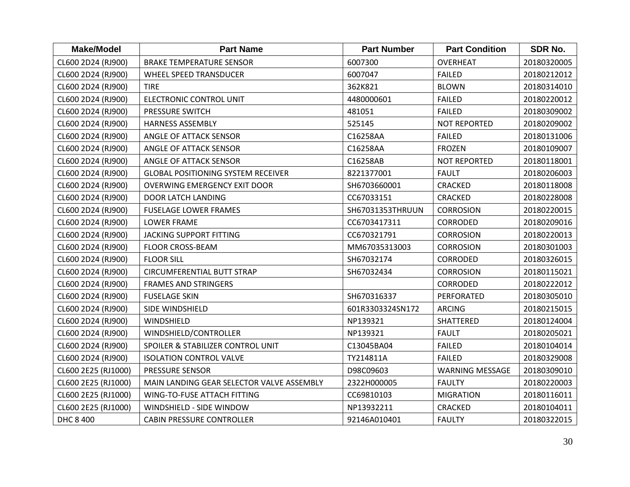| <b>Make/Model</b>   | <b>Part Name</b>                          | <b>Part Number</b> | <b>Part Condition</b>  | SDR No.     |
|---------------------|-------------------------------------------|--------------------|------------------------|-------------|
| CL600 2D24 (RJ900)  | <b>BRAKE TEMPERATURE SENSOR</b>           | 6007300            | <b>OVERHEAT</b>        | 20180320005 |
| CL600 2D24 (RJ900)  | <b>WHEEL SPEED TRANSDUCER</b>             | 6007047            | <b>FAILED</b>          | 20180212012 |
| CL600 2D24 (RJ900)  | <b>TIRE</b>                               | 362K821            | <b>BLOWN</b>           | 20180314010 |
| CL600 2D24 (RJ900)  | <b>ELECTRONIC CONTROL UNIT</b>            | 4480000601         | <b>FAILED</b>          | 20180220012 |
| CL600 2D24 (RJ900)  | <b>PRESSURE SWITCH</b>                    | 481051             | <b>FAILED</b>          | 20180309002 |
| CL600 2D24 (RJ900)  | <b>HARNESS ASSEMBLY</b>                   | 525145             | <b>NOT REPORTED</b>    | 20180209002 |
| CL600 2D24 (RJ900)  | ANGLE OF ATTACK SENSOR                    | C16258AA           | <b>FAILED</b>          | 20180131006 |
| CL600 2D24 (RJ900)  | ANGLE OF ATTACK SENSOR                    | C16258AA           | <b>FROZEN</b>          | 20180109007 |
| CL600 2D24 (RJ900)  | ANGLE OF ATTACK SENSOR                    | C16258AB           | <b>NOT REPORTED</b>    | 20180118001 |
| CL600 2D24 (RJ900)  | <b>GLOBAL POSITIONING SYSTEM RECEIVER</b> | 8221377001         | <b>FAULT</b>           | 20180206003 |
| CL600 2D24 (RJ900)  | <b>OVERWING EMERGENCY EXIT DOOR</b>       | SH6703660001       | <b>CRACKED</b>         | 20180118008 |
| CL600 2D24 (RJ900)  | DOOR LATCH LANDING                        | CC67033151         | <b>CRACKED</b>         | 20180228008 |
| CL600 2D24 (RJ900)  | <b>FUSELAGE LOWER FRAMES</b>              | SH67031353THRUUN   | <b>CORROSION</b>       | 20180220015 |
| CL600 2D24 (RJ900)  | <b>LOWER FRAME</b>                        | CC6703417311       | <b>CORRODED</b>        | 20180209016 |
| CL600 2D24 (RJ900)  | JACKING SUPPORT FITTING                   | CC670321791        | <b>CORROSION</b>       | 20180220013 |
| CL600 2D24 (RJ900)  | <b>FLOOR CROSS-BEAM</b>                   | MM67035313003      | <b>CORROSION</b>       | 20180301003 |
| CL600 2D24 (RJ900)  | <b>FLOOR SILL</b>                         | SH67032174         | <b>CORRODED</b>        | 20180326015 |
| CL600 2D24 (RJ900)  | <b>CIRCUMFERENTIAL BUTT STRAP</b>         | SH67032434         | <b>CORROSION</b>       | 20180115021 |
| CL600 2D24 (RJ900)  | <b>FRAMES AND STRINGERS</b>               |                    | <b>CORRODED</b>        | 20180222012 |
| CL600 2D24 (RJ900)  | <b>FUSELAGE SKIN</b>                      | SH670316337        | PERFORATED             | 20180305010 |
| CL600 2D24 (RJ900)  | SIDE WINDSHIELD                           | 601R3303324SN172   | <b>ARCING</b>          | 20180215015 |
| CL600 2D24 (RJ900)  | WINDSHIELD                                | NP139321           | SHATTERED              | 20180124004 |
| CL600 2D24 (RJ900)  | WINDSHIELD/CONTROLLER                     | NP139321           | <b>FAULT</b>           | 20180205021 |
| CL600 2D24 (RJ900)  | SPOILER & STABILIZER CONTROL UNIT         | C13045BA04         | <b>FAILED</b>          | 20180104014 |
| CL600 2D24 (RJ900)  | <b>ISOLATION CONTROL VALVE</b>            | TY214811A          | <b>FAILED</b>          | 20180329008 |
| CL600 2E25 (RJ1000) | <b>PRESSURE SENSOR</b>                    | D98C09603          | <b>WARNING MESSAGE</b> | 20180309010 |
| CL600 2E25 (RJ1000) | MAIN LANDING GEAR SELECTOR VALVE ASSEMBLY | 2322H000005        | <b>FAULTY</b>          | 20180220003 |
| CL600 2E25 (RJ1000) | WING-TO-FUSE ATTACH FITTING               | CC69810103         | <b>MIGRATION</b>       | 20180116011 |
| CL600 2E25 (RJ1000) | WINDSHIELD - SIDE WINDOW                  | NP13932211         | <b>CRACKED</b>         | 20180104011 |
| DHC 8 400           | <b>CABIN PRESSURE CONTROLLER</b>          | 92146A010401       | <b>FAULTY</b>          | 20180322015 |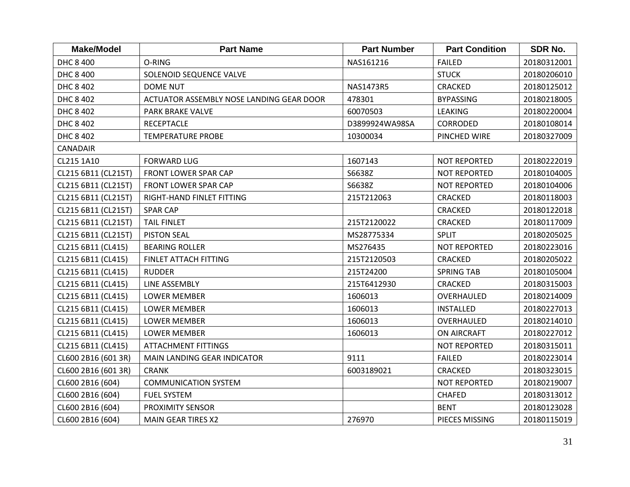| <b>Make/Model</b>   | <b>Part Name</b>                         | <b>Part Number</b> | <b>Part Condition</b> | SDR No.     |
|---------------------|------------------------------------------|--------------------|-----------------------|-------------|
| DHC 8 400           | O-RING                                   | NAS161216          | <b>FAILED</b>         | 20180312001 |
| DHC 8 400           | SOLENOID SEQUENCE VALVE                  |                    | <b>STUCK</b>          | 20180206010 |
| DHC 8 402           | <b>DOME NUT</b>                          | NAS1473R5          | <b>CRACKED</b>        | 20180125012 |
| DHC 8 402           | ACTUATOR ASSEMBLY NOSE LANDING GEAR DOOR | 478301             | <b>BYPASSING</b>      | 20180218005 |
| DHC 8 402           | PARK BRAKE VALVE                         | 60070503           | <b>LEAKING</b>        | 20180220004 |
| DHC 8 402           | <b>RECEPTACLE</b>                        | D3899924WA98SA     | <b>CORRODED</b>       | 20180108014 |
| DHC 8 402           | <b>TEMPERATURE PROBE</b>                 | 10300034           | PINCHED WIRE          | 20180327009 |
| CANADAIR            |                                          |                    |                       |             |
| CL215 1A10          | <b>FORWARD LUG</b>                       | 1607143            | <b>NOT REPORTED</b>   | 20180222019 |
| CL215 6B11 (CL215T) | FRONT LOWER SPAR CAP                     | S6638Z             | <b>NOT REPORTED</b>   | 20180104005 |
| CL215 6B11 (CL215T) | FRONT LOWER SPAR CAP                     | S6638Z             | <b>NOT REPORTED</b>   | 20180104006 |
| CL215 6B11 (CL215T) | RIGHT-HAND FINLET FITTING                | 215T212063         | <b>CRACKED</b>        | 20180118003 |
| CL215 6B11 (CL215T) | <b>SPAR CAP</b>                          |                    | <b>CRACKED</b>        | 20180122018 |
| CL215 6B11 (CL215T) | <b>TAIL FINLET</b>                       | 215T2120022        | <b>CRACKED</b>        | 20180117009 |
| CL215 6B11 (CL215T) | <b>PISTON SEAL</b>                       | MS28775334         | <b>SPLIT</b>          | 20180205025 |
| CL215 6B11 (CL415)  | <b>BEARING ROLLER</b>                    | MS276435           | <b>NOT REPORTED</b>   | 20180223016 |
| CL215 6B11 (CL415)  | FINLET ATTACH FITTING                    | 215T2120503        | <b>CRACKED</b>        | 20180205022 |
| CL215 6B11 (CL415)  | <b>RUDDER</b>                            | 215T24200          | <b>SPRING TAB</b>     | 20180105004 |
| CL215 6B11 (CL415)  | LINE ASSEMBLY                            | 215T6412930        | CRACKED               | 20180315003 |
| CL215 6B11 (CL415)  | <b>LOWER MEMBER</b>                      | 1606013            | OVERHAULED            | 20180214009 |
| CL215 6B11 (CL415)  | <b>LOWER MEMBER</b>                      | 1606013            | <b>INSTALLED</b>      | 20180227013 |
| CL215 6B11 (CL415)  | <b>LOWER MEMBER</b>                      | 1606013            | OVERHAULED            | 20180214010 |
| CL215 6B11 (CL415)  | <b>LOWER MEMBER</b>                      | 1606013            | <b>ON AIRCRAFT</b>    | 20180227012 |
| CL215 6B11 (CL415)  | <b>ATTACHMENT FITTINGS</b>               |                    | <b>NOT REPORTED</b>   | 20180315011 |
| CL600 2B16 (601 3R) | MAIN LANDING GEAR INDICATOR              | 9111               | <b>FAILED</b>         | 20180223014 |
| CL600 2B16 (601 3R) | <b>CRANK</b>                             | 6003189021         | <b>CRACKED</b>        | 20180323015 |
| CL600 2B16 (604)    | <b>COMMUNICATION SYSTEM</b>              |                    | <b>NOT REPORTED</b>   | 20180219007 |
| CL600 2B16 (604)    | <b>FUEL SYSTEM</b>                       |                    | <b>CHAFED</b>         | 20180313012 |
| CL600 2B16 (604)    | PROXIMITY SENSOR                         |                    | <b>BENT</b>           | 20180123028 |
| CL600 2B16 (604)    | <b>MAIN GEAR TIRES X2</b>                | 276970             | PIECES MISSING        | 20180115019 |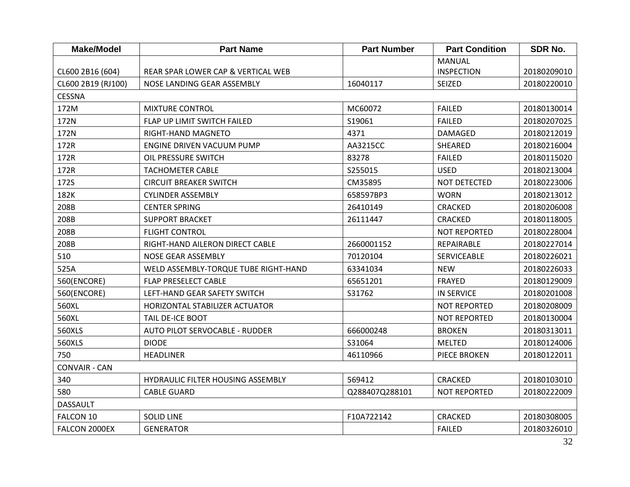| <b>Make/Model</b>    | <b>Part Name</b>                     | <b>Part Number</b> | <b>Part Condition</b> | <b>SDR No.</b> |
|----------------------|--------------------------------------|--------------------|-----------------------|----------------|
|                      |                                      |                    | <b>MANUAL</b>         |                |
| CL600 2B16 (604)     | REAR SPAR LOWER CAP & VERTICAL WEB   |                    | <b>INSPECTION</b>     | 20180209010    |
| CL600 2B19 (RJ100)   | NOSE LANDING GEAR ASSEMBLY           | 16040117           | <b>SEIZED</b>         | 20180220010    |
| <b>CESSNA</b>        |                                      |                    |                       |                |
| 172M                 | <b>MIXTURE CONTROL</b>               | MC60072            | <b>FAILED</b>         | 20180130014    |
| 172N                 | FLAP UP LIMIT SWITCH FAILED          | S19061             | <b>FAILED</b>         | 20180207025    |
| 172N                 | RIGHT-HAND MAGNETO                   | 4371               | DAMAGED               | 20180212019    |
| 172R                 | <b>ENGINE DRIVEN VACUUM PUMP</b>     | AA3215CC           | SHEARED               | 20180216004    |
| 172R                 | OIL PRESSURE SWITCH                  | 83278              | <b>FAILED</b>         | 20180115020    |
| 172R                 | <b>TACHOMETER CABLE</b>              | S255015            | <b>USED</b>           | 20180213004    |
| 172S                 | <b>CIRCUIT BREAKER SWITCH</b>        | CM35895            | NOT DETECTED          | 20180223006    |
| 182K                 | <b>CYLINDER ASSEMBLY</b>             | 658597BP3          | <b>WORN</b>           | 20180213012    |
| 208B                 | <b>CENTER SPRING</b>                 | 26410149           | <b>CRACKED</b>        | 20180206008    |
| 208B                 | <b>SUPPORT BRACKET</b>               | 26111447           | <b>CRACKED</b>        | 20180118005    |
| 208B                 | <b>FLIGHT CONTROL</b>                |                    | <b>NOT REPORTED</b>   | 20180228004    |
| 208B                 | RIGHT-HAND AILERON DIRECT CABLE      | 2660001152         | REPAIRABLE            | 20180227014    |
| 510                  | NOSE GEAR ASSEMBLY                   | 70120104           | <b>SERVICEABLE</b>    | 20180226021    |
| 525A                 | WELD ASSEMBLY-TORQUE TUBE RIGHT-HAND | 63341034           | <b>NEW</b>            | 20180226033    |
| 560(ENCORE)          | <b>FLAP PRESELECT CABLE</b>          | 65651201           | <b>FRAYED</b>         | 20180129009    |
| 560(ENCORE)          | LEFT-HAND GEAR SAFETY SWITCH         | S31762             | <b>IN SERVICE</b>     | 20180201008    |
| 560XL                | HORIZONTAL STABILIZER ACTUATOR       |                    | <b>NOT REPORTED</b>   | 20180208009    |
| 560XL                | <b>TAIL DE-ICE BOOT</b>              |                    | <b>NOT REPORTED</b>   | 20180130004    |
| 560XLS               | AUTO PILOT SERVOCABLE - RUDDER       | 666000248          | <b>BROKEN</b>         | 20180313011    |
| 560XLS               | <b>DIODE</b>                         | S31064             | <b>MELTED</b>         | 20180124006    |
| 750                  | <b>HEADLINER</b>                     | 46110966           | PIECE BROKEN          | 20180122011    |
| <b>CONVAIR - CAN</b> |                                      |                    |                       |                |
| 340                  | HYDRAULIC FILTER HOUSING ASSEMBLY    | 569412             | <b>CRACKED</b>        | 20180103010    |
| 580                  | <b>CABLE GUARD</b>                   | Q288407Q288101     | <b>NOT REPORTED</b>   | 20180222009    |
| <b>DASSAULT</b>      |                                      |                    |                       |                |
| FALCON 10            | <b>SOLID LINE</b>                    | F10A722142         | <b>CRACKED</b>        | 20180308005    |
| FALCON 2000EX        | <b>GENERATOR</b>                     |                    | <b>FAILED</b>         | 20180326010    |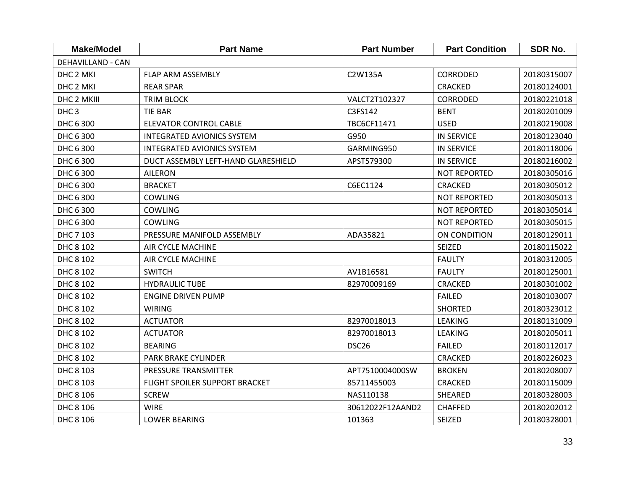| <b>Make/Model</b>        | <b>Part Name</b>                    | <b>Part Number</b> | <b>Part Condition</b> | <b>SDR No.</b> |
|--------------------------|-------------------------------------|--------------------|-----------------------|----------------|
| <b>DEHAVILLAND - CAN</b> |                                     |                    |                       |                |
| DHC 2 MKI                | <b>FLAP ARM ASSEMBLY</b>            | C2W135A            | <b>CORRODED</b>       | 20180315007    |
| DHC 2 MKI                | <b>REAR SPAR</b>                    |                    | <b>CRACKED</b>        | 20180124001    |
| DHC 2 MKIII              | TRIM BLOCK                          | VALCT2T102327      | <b>CORRODED</b>       | 20180221018    |
| DHC <sub>3</sub>         | <b>TIE BAR</b>                      | C3FS142            | <b>BENT</b>           | 20180201009    |
| DHC 6 300                | <b>ELEVATOR CONTROL CABLE</b>       | TBC6CF11471        | <b>USED</b>           | 20180219008    |
| DHC 6 300                | <b>INTEGRATED AVIONICS SYSTEM</b>   | G950               | <b>IN SERVICE</b>     | 20180123040    |
| DHC 6 300                | <b>INTEGRATED AVIONICS SYSTEM</b>   | GARMING950         | <b>IN SERVICE</b>     | 20180118006    |
| DHC 6 300                | DUCT ASSEMBLY LEFT-HAND GLARESHIELD | APST579300         | <b>IN SERVICE</b>     | 20180216002    |
| DHC 6 300                | <b>AILERON</b>                      |                    | <b>NOT REPORTED</b>   | 20180305016    |
| DHC 6 300                | <b>BRACKET</b>                      | C6EC1124           | <b>CRACKED</b>        | 20180305012    |
| DHC 6 300                | <b>COWLING</b>                      |                    | <b>NOT REPORTED</b>   | 20180305013    |
| DHC 6 300                | <b>COWLING</b>                      |                    | <b>NOT REPORTED</b>   | 20180305014    |
| DHC 6 300                | <b>COWLING</b>                      |                    | <b>NOT REPORTED</b>   | 20180305015    |
| DHC 7 103                | PRESSURE MANIFOLD ASSEMBLY          | ADA35821           | ON CONDITION          | 20180129011    |
| DHC 8 102                | <b>AIR CYCLE MACHINE</b>            |                    | <b>SEIZED</b>         | 20180115022    |
| DHC 8 102                | AIR CYCLE MACHINE                   |                    | <b>FAULTY</b>         | 20180312005    |
| DHC 8 102                | <b>SWITCH</b>                       | AV1B16581          | <b>FAULTY</b>         | 20180125001    |
| DHC 8 102                | <b>HYDRAULIC TUBE</b>               | 82970009169        | <b>CRACKED</b>        | 20180301002    |
| DHC 8 102                | <b>ENGINE DRIVEN PUMP</b>           |                    | <b>FAILED</b>         | 20180103007    |
| DHC 8 102                | <b>WIRING</b>                       |                    | <b>SHORTED</b>        | 20180323012    |
| DHC 8 102                | <b>ACTUATOR</b>                     | 82970018013        | <b>LEAKING</b>        | 20180131009    |
| DHC 8 102                | <b>ACTUATOR</b>                     | 82970018013        | LEAKING               | 20180205011    |
| DHC 8 102                | <b>BEARING</b>                      | DSC <sub>26</sub>  | <b>FAILED</b>         | 20180112017    |
| DHC 8 102                | PARK BRAKE CYLINDER                 |                    | <b>CRACKED</b>        | 20180226023    |
| DHC 8 103                | PRESSURE TRANSMITTER                | APT7510004000SW    | <b>BROKEN</b>         | 20180208007    |
| DHC 8 103                | FLIGHT SPOILER SUPPORT BRACKET      | 85711455003        | <b>CRACKED</b>        | 20180115009    |
| DHC 8 106                | <b>SCREW</b>                        | NAS110138          | SHEARED               | 20180328003    |
| DHC 8 106                | <b>WIRE</b>                         | 30612022F12AAND2   | <b>CHAFFED</b>        | 20180202012    |
| DHC 8 106                | <b>LOWER BEARING</b>                | 101363             | SEIZED                | 20180328001    |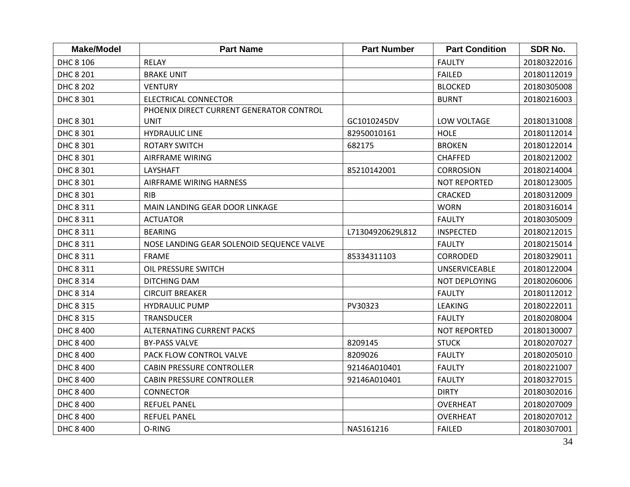| <b>Make/Model</b> | <b>Part Name</b>                          | <b>Part Number</b> | <b>Part Condition</b> | <b>SDR No.</b> |
|-------------------|-------------------------------------------|--------------------|-----------------------|----------------|
| DHC 8 106         | <b>RELAY</b>                              |                    | <b>FAULTY</b>         | 20180322016    |
| DHC 8 201         | <b>BRAKE UNIT</b>                         |                    | <b>FAILED</b>         | 20180112019    |
| <b>DHC 8 202</b>  | <b>VENTURY</b>                            |                    | <b>BLOCKED</b>        | 20180305008    |
| DHC 8 301         | <b>ELECTRICAL CONNECTOR</b>               |                    | <b>BURNT</b>          | 20180216003    |
|                   | PHOENIX DIRECT CURRENT GENERATOR CONTROL  |                    |                       |                |
| DHC 8 301         | <b>UNIT</b>                               | GC1010245DV        | LOW VOLTAGE           | 20180131008    |
| DHC 8 301         | <b>HYDRAULIC LINE</b>                     | 82950010161        | <b>HOLE</b>           | 20180112014    |
| DHC 8 301         | <b>ROTARY SWITCH</b>                      | 682175             | <b>BROKEN</b>         | 20180122014    |
| DHC 8 301         | AIRFRAME WIRING                           |                    | <b>CHAFFED</b>        | 20180212002    |
| DHC 8 301         | <b>LAYSHAFT</b>                           | 85210142001        | <b>CORROSION</b>      | 20180214004    |
| DHC 8 301         | AIRFRAME WIRING HARNESS                   |                    | NOT REPORTED          | 20180123005    |
| DHC 8 301         | <b>RIB</b>                                |                    | <b>CRACKED</b>        | 20180312009    |
| DHC 8 311         | MAIN LANDING GEAR DOOR LINKAGE            |                    | <b>WORN</b>           | 20180316014    |
| DHC 8 311         | <b>ACTUATOR</b>                           |                    | <b>FAULTY</b>         | 20180305009    |
| DHC 8 311         | <b>BEARING</b>                            | L71304920629L812   | <b>INSPECTED</b>      | 20180212015    |
| DHC 8 311         | NOSE LANDING GEAR SOLENOID SEQUENCE VALVE |                    | <b>FAULTY</b>         | 20180215014    |
| DHC 8 311         | <b>FRAME</b>                              | 85334311103        | <b>CORRODED</b>       | 20180329011    |
| DHC 8 311         | OIL PRESSURE SWITCH                       |                    | <b>UNSERVICEABLE</b>  | 20180122004    |
| DHC 8 314         | <b>DITCHING DAM</b>                       |                    | NOT DEPLOYING         | 20180206006    |
| DHC 8 314         | <b>CIRCUIT BREAKER</b>                    |                    | <b>FAULTY</b>         | 20180112012    |
| DHC 8 315         | <b>HYDRAULIC PUMP</b>                     | PV30323            | <b>LEAKING</b>        | 20180222011    |
| DHC 8 315         | <b>TRANSDUCER</b>                         |                    | <b>FAULTY</b>         | 20180208004    |
| DHC 8 400         | <b>ALTERNATING CURRENT PACKS</b>          |                    | <b>NOT REPORTED</b>   | 20180130007    |
| DHC 8 400         | <b>BY-PASS VALVE</b>                      | 8209145            | <b>STUCK</b>          | 20180207027    |
| DHC 8 400         | PACK FLOW CONTROL VALVE                   | 8209026            | <b>FAULTY</b>         | 20180205010    |
| DHC 8 400         | <b>CABIN PRESSURE CONTROLLER</b>          | 92146A010401       | <b>FAULTY</b>         | 20180221007    |
| DHC 8 400         | <b>CABIN PRESSURE CONTROLLER</b>          | 92146A010401       | <b>FAULTY</b>         | 20180327015    |
| DHC 8 400         | <b>CONNECTOR</b>                          |                    | <b>DIRTY</b>          | 20180302016    |
| DHC 8 400         | <b>REFUEL PANEL</b>                       |                    | <b>OVERHEAT</b>       | 20180207009    |
| DHC 8 400         | <b>REFUEL PANEL</b>                       |                    | <b>OVERHEAT</b>       | 20180207012    |
| DHC 8 400         | O-RING                                    | NAS161216          | <b>FAILED</b>         | 20180307001    |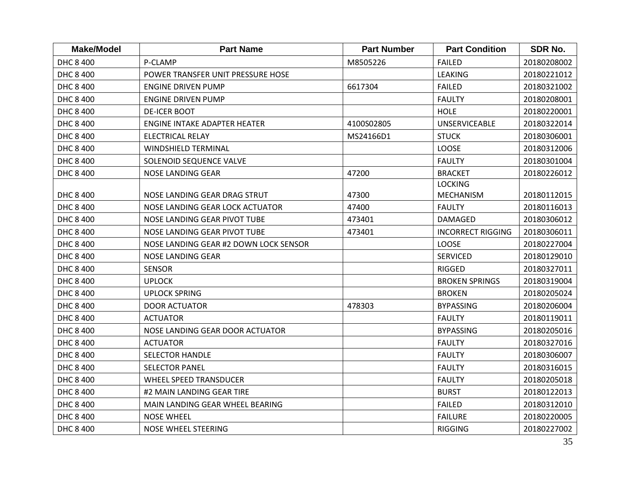| <b>Make/Model</b> | <b>Part Name</b>                      | <b>Part Number</b> | <b>Part Condition</b>    | SDR No.     |
|-------------------|---------------------------------------|--------------------|--------------------------|-------------|
| DHC 8 400         | P-CLAMP                               | M8505226           | <b>FAILED</b>            | 20180208002 |
| DHC 8 400         | POWER TRANSFER UNIT PRESSURE HOSE     |                    | <b>LEAKING</b>           | 20180221012 |
| DHC 8 400         | <b>ENGINE DRIVEN PUMP</b>             | 6617304            | <b>FAILED</b>            | 20180321002 |
| DHC 8 400         | <b>ENGINE DRIVEN PUMP</b>             |                    | <b>FAULTY</b>            | 20180208001 |
| DHC 8 400         | <b>DE-ICER BOOT</b>                   |                    | <b>HOLE</b>              | 20180220001 |
| DHC 8 400         | ENGINE INTAKE ADAPTER HEATER          | 4100S02805         | <b>UNSERVICEABLE</b>     | 20180322014 |
| DHC 8 400         | <b>ELECTRICAL RELAY</b>               | MS24166D1          | <b>STUCK</b>             | 20180306001 |
| DHC 8 400         | WINDSHIELD TERMINAL                   |                    | <b>LOOSE</b>             | 20180312006 |
| DHC 8 400         | SOLENOID SEQUENCE VALVE               |                    | <b>FAULTY</b>            | 20180301004 |
| DHC 8 400         | NOSE LANDING GEAR                     | 47200              | <b>BRACKET</b>           | 20180226012 |
|                   |                                       |                    | <b>LOCKING</b>           |             |
| DHC 8 400         | NOSE LANDING GEAR DRAG STRUT          | 47300              | <b>MECHANISM</b>         | 20180112015 |
| DHC 8 400         | NOSE LANDING GEAR LOCK ACTUATOR       | 47400              | <b>FAULTY</b>            | 20180116013 |
| DHC 8 400         | NOSE LANDING GEAR PIVOT TUBE          | 473401             | DAMAGED                  | 20180306012 |
| DHC 8 400         | NOSE LANDING GEAR PIVOT TUBE          | 473401             | <b>INCORRECT RIGGING</b> | 20180306011 |
| DHC 8 400         | NOSE LANDING GEAR #2 DOWN LOCK SENSOR |                    | LOOSE                    | 20180227004 |
| DHC 8 400         | NOSE LANDING GEAR                     |                    | <b>SERVICED</b>          | 20180129010 |
| DHC 8 400         | <b>SENSOR</b>                         |                    | <b>RIGGED</b>            | 20180327011 |
| DHC 8 400         | <b>UPLOCK</b>                         |                    | <b>BROKEN SPRINGS</b>    | 20180319004 |
| DHC 8 400         | <b>UPLOCK SPRING</b>                  |                    | <b>BROKEN</b>            | 20180205024 |
| DHC 8 400         | <b>DOOR ACTUATOR</b>                  | 478303             | <b>BYPASSING</b>         | 20180206004 |
| DHC 8 400         | <b>ACTUATOR</b>                       |                    | <b>FAULTY</b>            | 20180119011 |
| DHC 8 400         | NOSE LANDING GEAR DOOR ACTUATOR       |                    | <b>BYPASSING</b>         | 20180205016 |
| DHC 8 400         | <b>ACTUATOR</b>                       |                    | <b>FAULTY</b>            | 20180327016 |
| DHC 8 400         | <b>SELECTOR HANDLE</b>                |                    | <b>FAULTY</b>            | 20180306007 |
| DHC 8 400         | <b>SELECTOR PANEL</b>                 |                    | <b>FAULTY</b>            | 20180316015 |
| DHC 8 400         | <b>WHEEL SPEED TRANSDUCER</b>         |                    | <b>FAULTY</b>            | 20180205018 |
| DHC 8 400         | #2 MAIN LANDING GEAR TIRE             |                    | <b>BURST</b>             | 20180122013 |
| DHC 8 400         | MAIN LANDING GEAR WHEEL BEARING       |                    | <b>FAILED</b>            | 20180312010 |
| DHC 8 400         | <b>NOSE WHEEL</b>                     |                    | <b>FAILURE</b>           | 20180220005 |
| DHC 8 400         | NOSE WHEEL STEERING                   |                    | <b>RIGGING</b>           | 20180227002 |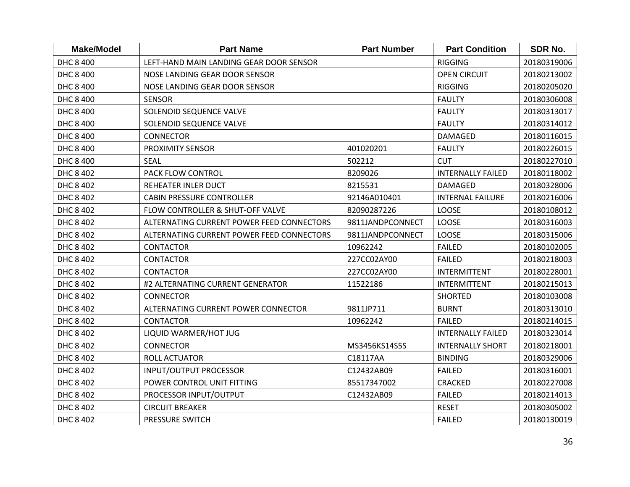| <b>Make/Model</b> | <b>Part Name</b>                          | <b>Part Number</b> | <b>Part Condition</b>    | <b>SDR No.</b> |
|-------------------|-------------------------------------------|--------------------|--------------------------|----------------|
| DHC 8 400         | LEFT-HAND MAIN LANDING GEAR DOOR SENSOR   |                    | <b>RIGGING</b>           | 20180319006    |
| DHC 8 400         | NOSE LANDING GEAR DOOR SENSOR             |                    | <b>OPEN CIRCUIT</b>      | 20180213002    |
| DHC 8 400         | NOSE LANDING GEAR DOOR SENSOR             |                    | <b>RIGGING</b>           | 20180205020    |
| DHC 8 400         | <b>SENSOR</b>                             |                    | <b>FAULTY</b>            | 20180306008    |
| DHC 8 400         | SOLENOID SEQUENCE VALVE                   |                    | <b>FAULTY</b>            | 20180313017    |
| DHC 8 400         | SOLENOID SEQUENCE VALVE                   |                    | <b>FAULTY</b>            | 20180314012    |
| DHC 8 400         | <b>CONNECTOR</b>                          |                    | <b>DAMAGED</b>           | 20180116015    |
| DHC 8 400         | <b>PROXIMITY SENSOR</b>                   | 401020201          | <b>FAULTY</b>            | 20180226015    |
| DHC 8 400         | <b>SEAL</b>                               | 502212             | <b>CUT</b>               | 20180227010    |
| DHC 8 402         | PACK FLOW CONTROL                         | 8209026            | <b>INTERNALLY FAILED</b> | 20180118002    |
| DHC 8 402         | REHEATER INLER DUCT                       | 8215531            | <b>DAMAGED</b>           | 20180328006    |
| DHC 8 402         | <b>CABIN PRESSURE CONTROLLER</b>          | 92146A010401       | <b>INTERNAL FAILURE</b>  | 20180216006    |
| DHC 8 402         | FLOW CONTROLLER & SHUT-OFF VALVE          | 82090287226        | LOOSE                    | 20180108012    |
| DHC 8 402         | ALTERNATING CURRENT POWER FEED CONNECTORS | 9811JANDPCONNECT   | LOOSE                    | 20180316003    |
| DHC 8 402         | ALTERNATING CURRENT POWER FEED CONNECTORS | 9811JANDPCONNECT   | LOOSE                    | 20180315006    |
| DHC 8 402         | <b>CONTACTOR</b>                          | 10962242           | <b>FAILED</b>            | 20180102005    |
| DHC 8 402         | <b>CONTACTOR</b>                          | 227CC02AY00        | <b>FAILED</b>            | 20180218003    |
| DHC 8 402         | <b>CONTACTOR</b>                          | 227CC02AY00        | <b>INTERMITTENT</b>      | 20180228001    |
| DHC 8 402         | #2 ALTERNATING CURRENT GENERATOR          | 11522186           | <b>INTERMITTENT</b>      | 20180215013    |
| DHC 8 402         | <b>CONNECTOR</b>                          |                    | <b>SHORTED</b>           | 20180103008    |
| DHC 8 402         | ALTERNATING CURRENT POWER CONNECTOR       | 9811JP711          | <b>BURNT</b>             | 20180313010    |
| DHC 8 402         | <b>CONTACTOR</b>                          | 10962242           | <b>FAILED</b>            | 20180214015    |
| DHC 8 402         | LIQUID WARMER/HOT JUG                     |                    | <b>INTERNALLY FAILED</b> | 20180323014    |
| DHC 8 402         | <b>CONNECTOR</b>                          | MS3456KS14S5S      | <b>INTERNALLY SHORT</b>  | 20180218001    |
| DHC 8 402         | <b>ROLL ACTUATOR</b>                      | C18117AA           | <b>BINDING</b>           | 20180329006    |
| DHC 8 402         | <b>INPUT/OUTPUT PROCESSOR</b>             | C12432AB09         | <b>FAILED</b>            | 20180316001    |
| DHC 8 402         | POWER CONTROL UNIT FITTING                | 85517347002        | <b>CRACKED</b>           | 20180227008    |
| DHC 8 402         | PROCESSOR INPUT/OUTPUT                    | C12432AB09         | <b>FAILED</b>            | 20180214013    |
| DHC 8 402         | <b>CIRCUIT BREAKER</b>                    |                    | <b>RESET</b>             | 20180305002    |
| DHC 8 402         | PRESSURE SWITCH                           |                    | <b>FAILED</b>            | 20180130019    |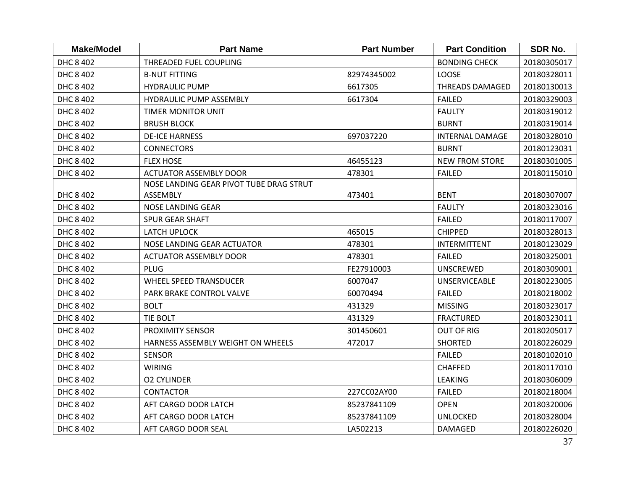| <b>Make/Model</b> | <b>Part Name</b>                        | <b>Part Number</b> | <b>Part Condition</b>  | <b>SDR No.</b> |
|-------------------|-----------------------------------------|--------------------|------------------------|----------------|
| DHC 8 402         | THREADED FUEL COUPLING                  |                    | <b>BONDING CHECK</b>   | 20180305017    |
| DHC 8 402         | <b>B-NUT FITTING</b>                    | 82974345002        | <b>LOOSE</b>           | 20180328011    |
| DHC 8 402         | <b>HYDRAULIC PUMP</b>                   | 6617305            | THREADS DAMAGED        | 20180130013    |
| DHC 8 402         | <b>HYDRAULIC PUMP ASSEMBLY</b>          | 6617304            | <b>FAILED</b>          | 20180329003    |
| DHC 8 402         | <b>TIMER MONITOR UNIT</b>               |                    | <b>FAULTY</b>          | 20180319012    |
| DHC 8 402         | <b>BRUSH BLOCK</b>                      |                    | <b>BURNT</b>           | 20180319014    |
| DHC 8 402         | <b>DE-ICE HARNESS</b>                   | 697037220          | <b>INTERNAL DAMAGE</b> | 20180328010    |
| DHC 8 402         | <b>CONNECTORS</b>                       |                    | <b>BURNT</b>           | 20180123031    |
| DHC 8 402         | <b>FLEX HOSE</b>                        | 46455123           | <b>NEW FROM STORE</b>  | 20180301005    |
| DHC 8 402         | <b>ACTUATOR ASSEMBLY DOOR</b>           | 478301             | <b>FAILED</b>          | 20180115010    |
|                   | NOSE LANDING GEAR PIVOT TUBE DRAG STRUT |                    |                        |                |
| DHC 8 402         | ASSEMBLY                                | 473401             | <b>BENT</b>            | 20180307007    |
| DHC 8 402         | NOSE LANDING GEAR                       |                    | <b>FAULTY</b>          | 20180323016    |
| DHC 8 402         | <b>SPUR GEAR SHAFT</b>                  |                    | <b>FAILED</b>          | 20180117007    |
| DHC 8 402         | LATCH UPLOCK                            | 465015             | <b>CHIPPED</b>         | 20180328013    |
| DHC 8 402         | NOSE LANDING GEAR ACTUATOR              | 478301             | <b>INTERMITTENT</b>    | 20180123029    |
| DHC 8 402         | <b>ACTUATOR ASSEMBLY DOOR</b>           | 478301             | <b>FAILED</b>          | 20180325001    |
| DHC 8 402         | <b>PLUG</b>                             | FE27910003         | <b>UNSCREWED</b>       | 20180309001    |
| DHC 8 402         | <b>WHEEL SPEED TRANSDUCER</b>           | 6007047            | <b>UNSERVICEABLE</b>   | 20180223005    |
| DHC 8 402         | PARK BRAKE CONTROL VALVE                | 60070494           | <b>FAILED</b>          | 20180218002    |
| DHC 8 402         | <b>BOLT</b>                             | 431329             | <b>MISSING</b>         | 20180323017    |
| DHC 8 402         | TIE BOLT                                | 431329             | <b>FRACTURED</b>       | 20180323011    |
| DHC 8 402         | PROXIMITY SENSOR                        | 301450601          | <b>OUT OF RIG</b>      | 20180205017    |
| DHC 8 402         | HARNESS ASSEMBLY WEIGHT ON WHEELS       | 472017             | <b>SHORTED</b>         | 20180226029    |
| DHC 8 402         | <b>SENSOR</b>                           |                    | <b>FAILED</b>          | 20180102010    |
| DHC 8 402         | <b>WIRING</b>                           |                    | <b>CHAFFED</b>         | 20180117010    |
| DHC 8 402         | <b>O2 CYLINDER</b>                      |                    | <b>LEAKING</b>         | 20180306009    |
| DHC 8 402         | <b>CONTACTOR</b>                        | 227CC02AY00        | <b>FAILED</b>          | 20180218004    |
| DHC 8 402         | AFT CARGO DOOR LATCH                    | 85237841109        | <b>OPEN</b>            | 20180320006    |
| DHC 8 402         | AFT CARGO DOOR LATCH                    | 85237841109        | <b>UNLOCKED</b>        | 20180328004    |
| DHC 8 402         | AFT CARGO DOOR SEAL                     | LA502213           | <b>DAMAGED</b>         | 20180226020    |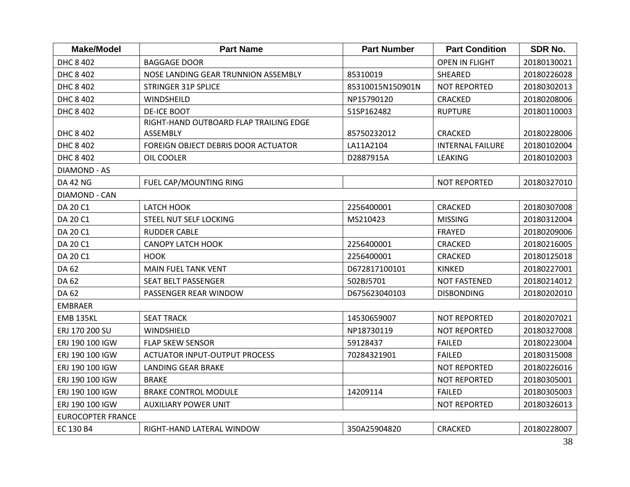| <b>Make/Model</b>        | <b>Part Name</b>                       | <b>Part Number</b> | <b>Part Condition</b>   | <b>SDR No.</b> |
|--------------------------|----------------------------------------|--------------------|-------------------------|----------------|
| DHC 8 402                | <b>BAGGAGE DOOR</b>                    |                    | <b>OPEN IN FLIGHT</b>   | 20180130021    |
| DHC 8 402                | NOSE LANDING GEAR TRUNNION ASSEMBLY    | 85310019           | SHEARED                 | 20180226028    |
| DHC 8 402                | <b>STRINGER 31P SPLICE</b>             | 85310015N150901N   | <b>NOT REPORTED</b>     | 20180302013    |
| DHC 8 402                | WINDSHEILD                             | NP15790120         | <b>CRACKED</b>          | 20180208006    |
| DHC 8 402                | <b>DE-ICE BOOT</b>                     | 51SP162482         | <b>RUPTURE</b>          | 20180110003    |
|                          | RIGHT-HAND OUTBOARD FLAP TRAILING EDGE |                    |                         |                |
| DHC 8 402                | ASSEMBLY                               | 85750232012        | <b>CRACKED</b>          | 20180228006    |
| DHC 8 402                | FOREIGN OBJECT DEBRIS DOOR ACTUATOR    | LA11A2104          | <b>INTERNAL FAILURE</b> | 20180102004    |
| DHC 8 402                | OIL COOLER                             | D2887915A          | <b>LEAKING</b>          | 20180102003    |
| <b>DIAMOND - AS</b>      |                                        |                    |                         |                |
| <b>DA 42 NG</b>          | FUEL CAP/MOUNTING RING                 |                    | <b>NOT REPORTED</b>     | 20180327010    |
| <b>DIAMOND - CAN</b>     |                                        |                    |                         |                |
| DA 20 C1                 | <b>LATCH HOOK</b>                      | 2256400001         | <b>CRACKED</b>          | 20180307008    |
| DA 20 C1                 | STEEL NUT SELF LOCKING                 | MS210423           | <b>MISSING</b>          | 20180312004    |
| DA 20 C1                 | <b>RUDDER CABLE</b>                    |                    | <b>FRAYED</b>           | 20180209006    |
| DA 20 C1                 | <b>CANOPY LATCH HOOK</b>               | 2256400001         | <b>CRACKED</b>          | 20180216005    |
| DA 20 C1                 | <b>HOOK</b>                            | 2256400001         | <b>CRACKED</b>          | 20180125018    |
| DA 62                    | <b>MAIN FUEL TANK VENT</b>             | D672817100101      | <b>KINKED</b>           | 20180227001    |
| DA 62                    | <b>SEAT BELT PASSENGER</b>             | 502BJ5701          | <b>NOT FASTENED</b>     | 20180214012    |
| DA 62                    | PASSENGER REAR WINDOW                  | D675623040103      | <b>DISBONDING</b>       | 20180202010    |
| <b>EMBRAER</b>           |                                        |                    |                         |                |
| <b>EMB 135KL</b>         | <b>SEAT TRACK</b>                      | 14530659007        | <b>NOT REPORTED</b>     | 20180207021    |
| ERJ 170 200 SU           | WINDSHIELD                             | NP18730119         | <b>NOT REPORTED</b>     | 20180327008    |
| ERJ 190 100 IGW          | <b>FLAP SKEW SENSOR</b>                | 59128437           | <b>FAILED</b>           | 20180223004    |
| ERJ 190 100 IGW          | <b>ACTUATOR INPUT-OUTPUT PROCESS</b>   | 70284321901        | <b>FAILED</b>           | 20180315008    |
| ERJ 190 100 IGW          | <b>LANDING GEAR BRAKE</b>              |                    | <b>NOT REPORTED</b>     | 20180226016    |
| ERJ 190 100 IGW          | <b>BRAKE</b>                           |                    | <b>NOT REPORTED</b>     | 20180305001    |
| ERJ 190 100 IGW          | <b>BRAKE CONTROL MODULE</b>            | 14209114           | <b>FAILED</b>           | 20180305003    |
| ERJ 190 100 IGW          | <b>AUXILIARY POWER UNIT</b>            |                    | <b>NOT REPORTED</b>     | 20180326013    |
| <b>EUROCOPTER FRANCE</b> |                                        |                    |                         |                |
| EC 130 B4                | RIGHT-HAND LATERAL WINDOW              | 350A25904820       | <b>CRACKED</b>          | 20180228007    |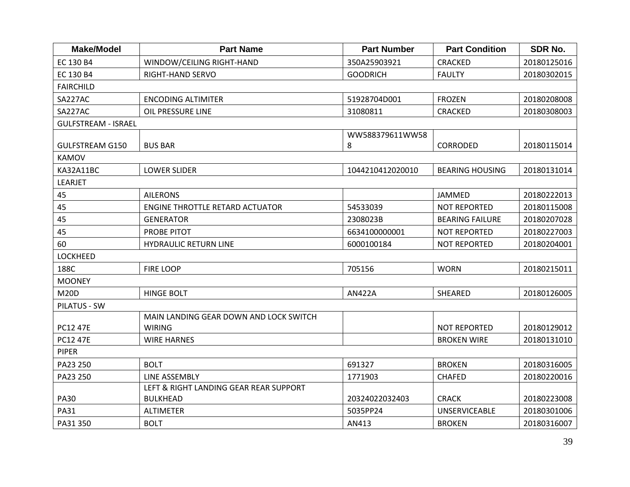| <b>Make/Model</b>          | <b>Part Name</b>                       | <b>Part Number</b> | <b>Part Condition</b>  | <b>SDR No.</b> |
|----------------------------|----------------------------------------|--------------------|------------------------|----------------|
| EC 130 B4                  | WINDOW/CEILING RIGHT-HAND              | 350A25903921       | CRACKED                | 20180125016    |
| EC 130 B4                  | <b>RIGHT-HAND SERVO</b>                | <b>GOODRICH</b>    | <b>FAULTY</b>          | 20180302015    |
| <b>FAIRCHILD</b>           |                                        |                    |                        |                |
| SA227AC                    | <b>ENCODING ALTIMITER</b>              | 51928704D001       | <b>FROZEN</b>          | 20180208008    |
| SA227AC                    | OIL PRESSURE LINE                      | 31080811           | <b>CRACKED</b>         | 20180308003    |
| <b>GULFSTREAM - ISRAEL</b> |                                        |                    |                        |                |
|                            |                                        | WW588379611WW58    |                        |                |
| <b>GULFSTREAM G150</b>     | <b>BUS BAR</b>                         | 8                  | <b>CORRODED</b>        | 20180115014    |
| <b>KAMOV</b>               |                                        |                    |                        |                |
| KA32A11BC                  | <b>LOWER SLIDER</b>                    | 1044210412020010   | <b>BEARING HOUSING</b> | 20180131014    |
| LEARJET                    |                                        |                    |                        |                |
| 45                         | <b>AILERONS</b>                        |                    | JAMMED                 | 20180222013    |
| 45                         | <b>ENGINE THROTTLE RETARD ACTUATOR</b> | 54533039           | <b>NOT REPORTED</b>    | 20180115008    |
| 45                         | <b>GENERATOR</b>                       | 2308023B           | <b>BEARING FAILURE</b> | 20180207028    |
| 45                         | PROBE PITOT                            | 6634100000001      | <b>NOT REPORTED</b>    | 20180227003    |
| 60                         | <b>HYDRAULIC RETURN LINE</b>           | 6000100184         | <b>NOT REPORTED</b>    | 20180204001    |
| <b>LOCKHEED</b>            |                                        |                    |                        |                |
| 188C                       | <b>FIRE LOOP</b>                       | 705156             | <b>WORN</b>            | 20180215011    |
| <b>MOONEY</b>              |                                        |                    |                        |                |
| <b>M20D</b>                | <b>HINGE BOLT</b>                      | <b>AN422A</b>      | SHEARED                | 20180126005    |
| <b>PILATUS - SW</b>        |                                        |                    |                        |                |
|                            | MAIN LANDING GEAR DOWN AND LOCK SWITCH |                    |                        |                |
| PC12 47E                   | <b>WIRING</b>                          |                    | <b>NOT REPORTED</b>    | 20180129012    |
| PC12 47E                   | <b>WIRE HARNES</b>                     |                    | <b>BROKEN WIRE</b>     | 20180131010    |
| <b>PIPER</b>               |                                        |                    |                        |                |
| PA23 250                   | <b>BOLT</b>                            | 691327             | <b>BROKEN</b>          | 20180316005    |
| PA23 250                   | LINE ASSEMBLY                          | 1771903            | <b>CHAFED</b>          | 20180220016    |
|                            | LEFT & RIGHT LANDING GEAR REAR SUPPORT |                    |                        |                |
| <b>PA30</b>                | <b>BULKHEAD</b>                        | 20324022032403     | <b>CRACK</b>           | 20180223008    |
| <b>PA31</b>                | <b>ALTIMETER</b>                       | 5035PP24           | <b>UNSERVICEABLE</b>   | 20180301006    |
| PA31 350                   | <b>BOLT</b>                            | AN413              | <b>BROKEN</b>          | 20180316007    |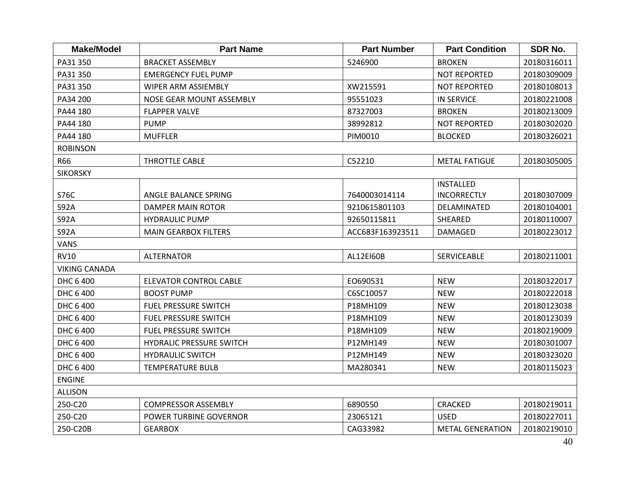| <b>Make/Model</b>    | <b>Part Name</b>                | <b>Part Number</b> | <b>Part Condition</b>   | <b>SDR No.</b> |
|----------------------|---------------------------------|--------------------|-------------------------|----------------|
| PA31 350             | <b>BRACKET ASSEMBLY</b>         | 5246900            | <b>BROKEN</b>           | 20180316011    |
| PA31 350             | <b>EMERGENCY FUEL PUMP</b>      |                    | <b>NOT REPORTED</b>     | 20180309009    |
| PA31 350             | <b>WIPER ARM ASSIEMBLY</b>      | XW215591           | <b>NOT REPORTED</b>     | 20180108013    |
| PA34 200             | NOSE GEAR MOUNT ASSEMBLY        | 95551023           | <b>IN SERVICE</b>       | 20180221008    |
| PA44 180             | <b>FLAPPER VALVE</b>            | 87327003           | <b>BROKEN</b>           | 20180213009    |
| PA44 180             | <b>PUMP</b>                     | 38992812           | <b>NOT REPORTED</b>     | 20180302020    |
| PA44 180             | <b>MUFFLER</b>                  | PIM0010            | <b>BLOCKED</b>          | 20180326021    |
| <b>ROBINSON</b>      |                                 |                    |                         |                |
| R66                  | <b>THROTTLE CABLE</b>           | C52210             | <b>METAL FATIGUE</b>    | 20180305005    |
| <b>SIKORSKY</b>      |                                 |                    |                         |                |
|                      |                                 |                    | <b>INSTALLED</b>        |                |
| S76C                 | ANGLE BALANCE SPRING            | 7640003014114      | <b>INCORRECTLY</b>      | 20180307009    |
| <b>S92A</b>          | DAMPER MAIN ROTOR               | 9210615801103      | DELAMINATED             | 20180104001    |
| <b>S92A</b>          | <b>HYDRAULIC PUMP</b>           | 92650115811        | SHEARED                 | 20180110007    |
| <b>S92A</b>          | <b>MAIN GEARBOX FILTERS</b>     | ACC683F163923511   | <b>DAMAGED</b>          | 20180223012    |
| <b>VANS</b>          |                                 |                    |                         |                |
| <b>RV10</b>          | <b>ALTERNATOR</b>               | AL12E160B          | <b>SERVICEABLE</b>      | 20180211001    |
| <b>VIKING CANADA</b> |                                 |                    |                         |                |
| DHC 6 400            | <b>ELEVATOR CONTROL CABLE</b>   | EO690531           | <b>NEW</b>              | 20180322017    |
| DHC 6 400            | <b>BOOST PUMP</b>               | C6SC10057          | <b>NEW</b>              | 20180222018    |
| DHC 6 400            | <b>FUEL PRESSURE SWITCH</b>     | P18MH109           | <b>NEW</b>              | 20180123038    |
| DHC 6 400            | <b>FUEL PRESSURE SWITCH</b>     | P18MH109           | <b>NEW</b>              | 20180123039    |
| DHC 6 400            | <b>FUEL PRESSURE SWITCH</b>     | P18MH109           | <b>NEW</b>              | 20180219009    |
| DHC 6 400            | <b>HYDRALIC PRESSURE SWITCH</b> | P12MH149           | <b>NEW</b>              | 20180301007    |
| DHC 6 400            | <b>HYDRAULIC SWITCH</b>         | P12MH149           | <b>NEW</b>              | 20180323020    |
| DHC 6 400            | <b>TEMPERATURE BULB</b>         | MA280341           | <b>NEW</b>              | 20180115023    |
| <b>ENGINE</b>        |                                 |                    |                         |                |
| <b>ALLISON</b>       |                                 |                    |                         |                |
| 250-C20              | <b>COMPRESSOR ASSEMBLY</b>      | 6890550            | <b>CRACKED</b>          | 20180219011    |
| 250-C20              | POWER TURBINE GOVERNOR          | 23065121           | <b>USED</b>             | 20180227011    |
| 250-C20B             | <b>GEARBOX</b>                  | CAG33982           | <b>METAL GENERATION</b> | 20180219010    |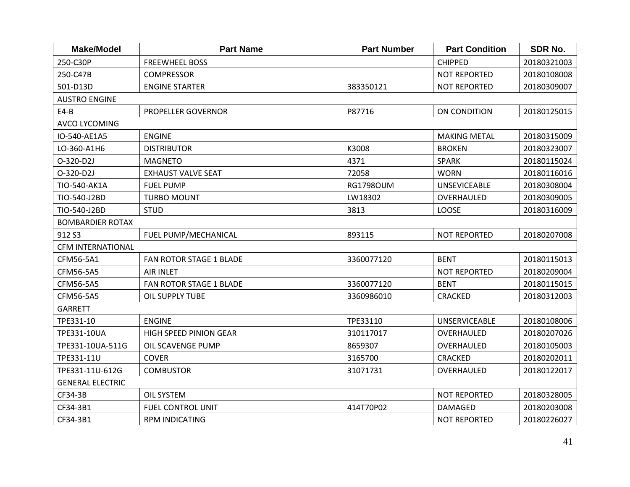| <b>Make/Model</b>        | <b>Part Name</b>              | <b>Part Number</b> | <b>Part Condition</b> | SDR No.     |
|--------------------------|-------------------------------|--------------------|-----------------------|-------------|
| 250-C30P                 | <b>FREEWHEEL BOSS</b>         |                    | <b>CHIPPED</b>        | 20180321003 |
| 250-C47B                 | <b>COMPRESSOR</b>             |                    | <b>NOT REPORTED</b>   | 20180108008 |
| 501-D13D                 | <b>ENGINE STARTER</b>         | 383350121          | <b>NOT REPORTED</b>   | 20180309007 |
| <b>AUSTRO ENGINE</b>     |                               |                    |                       |             |
| $E4-B$                   | PROPELLER GOVERNOR            | P87716             | ON CONDITION          | 20180125015 |
| <b>AVCO LYCOMING</b>     |                               |                    |                       |             |
| IO-540-AE1A5             | <b>ENGINE</b>                 |                    | <b>MAKING METAL</b>   | 20180315009 |
| LO-360-A1H6              | <b>DISTRIBUTOR</b>            | K3008              | <b>BROKEN</b>         | 20180323007 |
| O-320-D2J                | <b>MAGNETO</b>                | 4371               | <b>SPARK</b>          | 20180115024 |
| O-320-D2J                | <b>EXHAUST VALVE SEAT</b>     | 72058              | <b>WORN</b>           | 20180116016 |
| TIO-540-AK1A             | <b>FUEL PUMP</b>              | <b>RG1798OUM</b>   | <b>UNSEVICEABLE</b>   | 20180308004 |
| TIO-540-J2BD             | <b>TURBO MOUNT</b>            | LW18302            | OVERHAULED            | 20180309005 |
| TIO-540-J2BD             | <b>STUD</b>                   | 3813               | LOOSE                 | 20180316009 |
| <b>BOMBARDIER ROTAX</b>  |                               |                    |                       |             |
| 912 S3                   | FUEL PUMP/MECHANICAL          | 893115             | <b>NOT REPORTED</b>   | 20180207008 |
| <b>CFM INTERNATIONAL</b> |                               |                    |                       |             |
| CFM56-5A1                | FAN ROTOR STAGE 1 BLADE       | 3360077120         | <b>BENT</b>           | 20180115013 |
| CFM56-5A5                | <b>AIR INLET</b>              |                    | <b>NOT REPORTED</b>   | 20180209004 |
| CFM56-5A5                | FAN ROTOR STAGE 1 BLADE       | 3360077120         | <b>BENT</b>           | 20180115015 |
| CFM56-5A5                | OIL SUPPLY TUBE               | 3360986010         | <b>CRACKED</b>        | 20180312003 |
| <b>GARRETT</b>           |                               |                    |                       |             |
| TPE331-10                | <b>ENGINE</b>                 | TPE33110           | <b>UNSERVICEABLE</b>  | 20180108006 |
| TPE331-10UA              | <b>HIGH SPEED PINION GEAR</b> | 310117017          | OVERHAULED            | 20180207026 |
| TPE331-10UA-511G         | OIL SCAVENGE PUMP             | 8659307            | OVERHAULED            | 20180105003 |
| TPE331-11U               | <b>COVER</b>                  | 3165700            | <b>CRACKED</b>        | 20180202011 |
| TPE331-11U-612G          | <b>COMBUSTOR</b>              | 31071731           | OVERHAULED            | 20180122017 |
| <b>GENERAL ELECTRIC</b>  |                               |                    |                       |             |
| CF34-3B                  | <b>OIL SYSTEM</b>             |                    | <b>NOT REPORTED</b>   | 20180328005 |
| CF34-3B1                 | <b>FUEL CONTROL UNIT</b>      | 414T70P02          | <b>DAMAGED</b>        | 20180203008 |
| CF34-3B1                 | <b>RPM INDICATING</b>         |                    | <b>NOT REPORTED</b>   | 20180226027 |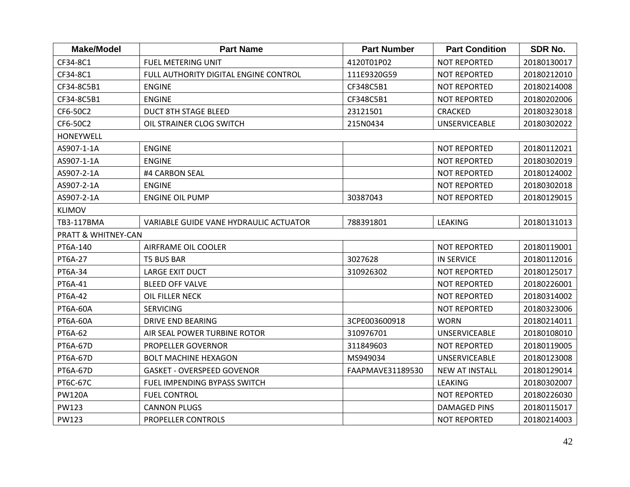| <b>Make/Model</b>              | <b>Part Name</b>                       | <b>Part Number</b> | <b>Part Condition</b> | SDR No.     |
|--------------------------------|----------------------------------------|--------------------|-----------------------|-------------|
| CF34-8C1                       | <b>FUEL METERING UNIT</b>              | 4120T01P02         | <b>NOT REPORTED</b>   | 20180130017 |
| CF34-8C1                       | FULL AUTHORITY DIGITAL ENGINE CONTROL  | 111E9320G59        | <b>NOT REPORTED</b>   | 20180212010 |
| CF34-8C5B1                     | <b>ENGINE</b>                          | CF348C5B1          | <b>NOT REPORTED</b>   | 20180214008 |
| CF34-8C5B1                     | <b>ENGINE</b>                          | CF348C5B1          | <b>NOT REPORTED</b>   | 20180202006 |
| CF6-50C2                       | <b>DUCT 8TH STAGE BLEED</b>            | 23121501           | CRACKED               | 20180323018 |
| CF6-50C2                       | OIL STRAINER CLOG SWITCH               | 215N0434           | <b>UNSERVICEABLE</b>  | 20180302022 |
| <b>HONEYWELL</b>               |                                        |                    |                       |             |
| AS907-1-1A                     | <b>ENGINE</b>                          |                    | <b>NOT REPORTED</b>   | 20180112021 |
| AS907-1-1A                     | <b>ENGINE</b>                          |                    | <b>NOT REPORTED</b>   | 20180302019 |
| AS907-2-1A                     | #4 CARBON SEAL                         |                    | <b>NOT REPORTED</b>   | 20180124002 |
| AS907-2-1A                     | <b>ENGINE</b>                          |                    | <b>NOT REPORTED</b>   | 20180302018 |
| AS907-2-1A                     | <b>ENGINE OIL PUMP</b>                 | 30387043           | <b>NOT REPORTED</b>   | 20180129015 |
| <b>KLIMOV</b>                  |                                        |                    |                       |             |
| TB3-117BMA                     | VARIABLE GUIDE VANE HYDRAULIC ACTUATOR | 788391801          | <b>LEAKING</b>        | 20180131013 |
| <b>PRATT &amp; WHITNEY-CAN</b> |                                        |                    |                       |             |
| PT6A-140                       | AIRFRAME OIL COOLER                    |                    | <b>NOT REPORTED</b>   | 20180119001 |
| PT6A-27                        | <b>T5 BUS BAR</b>                      | 3027628            | <b>IN SERVICE</b>     | 20180112016 |
| PT6A-34                        | <b>LARGE EXIT DUCT</b>                 | 310926302          | <b>NOT REPORTED</b>   | 20180125017 |
| PT6A-41                        | <b>BLEED OFF VALVE</b>                 |                    | <b>NOT REPORTED</b>   | 20180226001 |
| PT6A-42                        | OIL FILLER NECK                        |                    | <b>NOT REPORTED</b>   | 20180314002 |
| PT6A-60A                       | <b>SERVICING</b>                       |                    | <b>NOT REPORTED</b>   | 20180323006 |
| PT6A-60A                       | <b>DRIVE END BEARING</b>               | 3CPE003600918      | <b>WORN</b>           | 20180214011 |
| PT6A-62                        | AIR SEAL POWER TURBINE ROTOR           | 310976701          | <b>UNSERVICEABLE</b>  | 20180108010 |
| PT6A-67D                       | PROPELLER GOVERNOR                     | 311849603          | <b>NOT REPORTED</b>   | 20180119005 |
| PT6A-67D                       | <b>BOLT MACHINE HEXAGON</b>            | MS949034           | <b>UNSERVICEABLE</b>  | 20180123008 |
| PT6A-67D                       | <b>GASKET - OVERSPEED GOVENOR</b>      | FAAPMAVE31189530   | <b>NEW AT INSTALL</b> | 20180129014 |
| PT6C-67C                       | FUEL IMPENDING BYPASS SWITCH           |                    | <b>LEAKING</b>        | 20180302007 |
| <b>PW120A</b>                  | <b>FUEL CONTROL</b>                    |                    | <b>NOT REPORTED</b>   | 20180226030 |
| <b>PW123</b>                   | <b>CANNON PLUGS</b>                    |                    | <b>DAMAGED PINS</b>   | 20180115017 |
| <b>PW123</b>                   | <b>PROPELLER CONTROLS</b>              |                    | <b>NOT REPORTED</b>   | 20180214003 |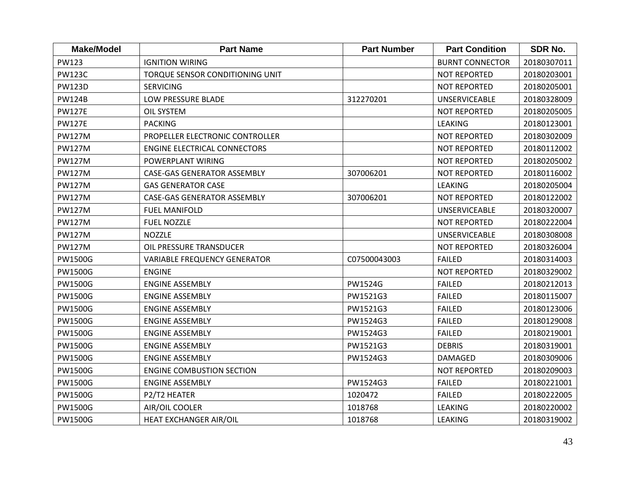| <b>Make/Model</b> | <b>Part Name</b>                    | <b>Part Number</b> | <b>Part Condition</b>  | SDR No.     |
|-------------------|-------------------------------------|--------------------|------------------------|-------------|
| <b>PW123</b>      | <b>IGNITION WIRING</b>              |                    | <b>BURNT CONNECTOR</b> | 20180307011 |
| <b>PW123C</b>     | TORQUE SENSOR CONDITIONING UNIT     |                    | <b>NOT REPORTED</b>    | 20180203001 |
| <b>PW123D</b>     | <b>SERVICING</b>                    |                    | <b>NOT REPORTED</b>    | 20180205001 |
| <b>PW124B</b>     | LOW PRESSURE BLADE                  | 312270201          | <b>UNSERVICEABLE</b>   | 20180328009 |
| <b>PW127E</b>     | <b>OIL SYSTEM</b>                   |                    | <b>NOT REPORTED</b>    | 20180205005 |
| <b>PW127E</b>     | <b>PACKING</b>                      |                    | <b>LEAKING</b>         | 20180123001 |
| <b>PW127M</b>     | PROPELLER ELECTRONIC CONTROLLER     |                    | <b>NOT REPORTED</b>    | 20180302009 |
| <b>PW127M</b>     | <b>ENGINE ELECTRICAL CONNECTORS</b> |                    | <b>NOT REPORTED</b>    | 20180112002 |
| <b>PW127M</b>     | POWERPLANT WIRING                   |                    | <b>NOT REPORTED</b>    | 20180205002 |
| <b>PW127M</b>     | <b>CASE-GAS GENERATOR ASSEMBLY</b>  | 307006201          | <b>NOT REPORTED</b>    | 20180116002 |
| <b>PW127M</b>     | <b>GAS GENERATOR CASE</b>           |                    | LEAKING                | 20180205004 |
| <b>PW127M</b>     | <b>CASE-GAS GENERATOR ASSEMBLY</b>  | 307006201          | <b>NOT REPORTED</b>    | 20180122002 |
| <b>PW127M</b>     | <b>FUEL MANIFOLD</b>                |                    | <b>UNSERVICEABLE</b>   | 20180320007 |
| <b>PW127M</b>     | <b>FUEL NOZZLE</b>                  |                    | <b>NOT REPORTED</b>    | 20180222004 |
| <b>PW127M</b>     | <b>NOZZLE</b>                       |                    | <b>UNSERVICEABLE</b>   | 20180308008 |
| <b>PW127M</b>     | OIL PRESSURE TRANSDUCER             |                    | <b>NOT REPORTED</b>    | 20180326004 |
| PW1500G           | <b>VARIABLE FREQUENCY GENERATOR</b> | C07500043003       | <b>FAILED</b>          | 20180314003 |
| <b>PW1500G</b>    | <b>ENGINE</b>                       |                    | <b>NOT REPORTED</b>    | 20180329002 |
| PW1500G           | <b>ENGINE ASSEMBLY</b>              | PW1524G            | <b>FAILED</b>          | 20180212013 |
| <b>PW1500G</b>    | <b>ENGINE ASSEMBLY</b>              | PW1521G3           | <b>FAILED</b>          | 20180115007 |
| PW1500G           | <b>ENGINE ASSEMBLY</b>              | PW1521G3           | <b>FAILED</b>          | 20180123006 |
| PW1500G           | <b>ENGINE ASSEMBLY</b>              | PW1524G3           | <b>FAILED</b>          | 20180129008 |
| PW1500G           | <b>ENGINE ASSEMBLY</b>              | PW1524G3           | <b>FAILED</b>          | 20180219001 |
| PW1500G           | <b>ENGINE ASSEMBLY</b>              | PW1521G3           | <b>DEBRIS</b>          | 20180319001 |
| PW1500G           | <b>ENGINE ASSEMBLY</b>              | PW1524G3           | DAMAGED                | 20180309006 |
| PW1500G           | <b>ENGINE COMBUSTION SECTION</b>    |                    | <b>NOT REPORTED</b>    | 20180209003 |
| <b>PW1500G</b>    | <b>ENGINE ASSEMBLY</b>              | PW1524G3           | <b>FAILED</b>          | 20180221001 |
| PW1500G           | P2/T2 HEATER                        | 1020472            | <b>FAILED</b>          | 20180222005 |
| PW1500G           | AIR/OIL COOLER                      | 1018768            | <b>LEAKING</b>         | 20180220002 |
| <b>PW1500G</b>    | <b>HEAT EXCHANGER AIR/OIL</b>       | 1018768            | LEAKING                | 20180319002 |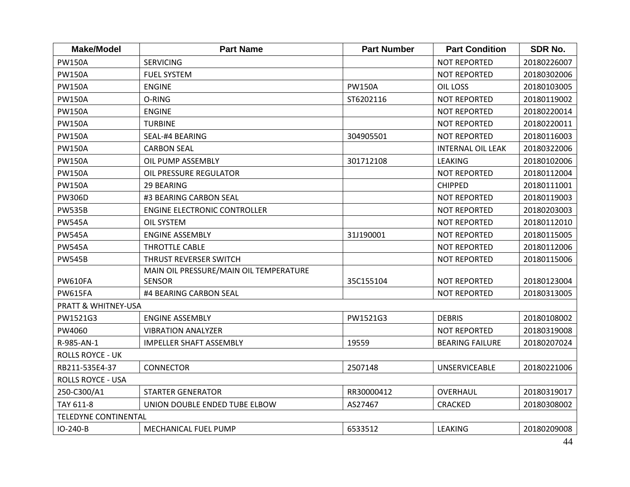| <b>Make/Model</b>        | <b>Part Name</b>                       | <b>Part Number</b> | <b>Part Condition</b>    | <b>SDR No.</b> |
|--------------------------|----------------------------------------|--------------------|--------------------------|----------------|
| <b>PW150A</b>            | <b>SERVICING</b>                       |                    | <b>NOT REPORTED</b>      | 20180226007    |
| <b>PW150A</b>            | <b>FUEL SYSTEM</b>                     |                    | <b>NOT REPORTED</b>      | 20180302006    |
| <b>PW150A</b>            | <b>ENGINE</b>                          | <b>PW150A</b>      | <b>OIL LOSS</b>          | 20180103005    |
| <b>PW150A</b>            | O-RING                                 | ST6202116          | <b>NOT REPORTED</b>      | 20180119002    |
| <b>PW150A</b>            | <b>ENGINE</b>                          |                    | <b>NOT REPORTED</b>      | 20180220014    |
| <b>PW150A</b>            | <b>TURBINE</b>                         |                    | <b>NOT REPORTED</b>      | 20180220011    |
| <b>PW150A</b>            | SEAL-#4 BEARING                        | 304905501          | <b>NOT REPORTED</b>      | 20180116003    |
| <b>PW150A</b>            | <b>CARBON SEAL</b>                     |                    | <b>INTERNAL OIL LEAK</b> | 20180322006    |
| <b>PW150A</b>            | OIL PUMP ASSEMBLY                      | 301712108          | <b>LEAKING</b>           | 20180102006    |
| <b>PW150A</b>            | OIL PRESSURE REGULATOR                 |                    | <b>NOT REPORTED</b>      | 20180112004    |
| <b>PW150A</b>            | 29 BEARING                             |                    | <b>CHIPPED</b>           | 20180111001    |
| <b>PW306D</b>            | #3 BEARING CARBON SEAL                 |                    | <b>NOT REPORTED</b>      | 20180119003    |
| <b>PW535B</b>            | <b>ENGINE ELECTRONIC CONTROLLER</b>    |                    | <b>NOT REPORTED</b>      | 20180203003    |
| <b>PW545A</b>            | OIL SYSTEM                             |                    | <b>NOT REPORTED</b>      | 20180112010    |
| <b>PW545A</b>            | <b>ENGINE ASSEMBLY</b>                 | 31J190001          | <b>NOT REPORTED</b>      | 20180115005    |
| <b>PW545A</b>            | <b>THROTTLE CABLE</b>                  |                    | <b>NOT REPORTED</b>      | 20180112006    |
| <b>PW545B</b>            | THRUST REVERSER SWITCH                 |                    | <b>NOT REPORTED</b>      | 20180115006    |
|                          | MAIN OIL PRESSURE/MAIN OIL TEMPERATURE |                    |                          |                |
| <b>PW610FA</b>           | <b>SENSOR</b>                          | 35C155104          | <b>NOT REPORTED</b>      | 20180123004    |
| <b>PW615FA</b>           | #4 BEARING CARBON SEAL                 |                    | <b>NOT REPORTED</b>      | 20180313005    |
| PRATT & WHITNEY-USA      |                                        |                    |                          |                |
| PW1521G3                 | <b>ENGINE ASSEMBLY</b>                 | PW1521G3           | <b>DEBRIS</b>            | 20180108002    |
| PW4060                   | <b>VIBRATION ANALYZER</b>              |                    | <b>NOT REPORTED</b>      | 20180319008    |
| R-985-AN-1               | <b>IMPELLER SHAFT ASSEMBLY</b>         | 19559              | <b>BEARING FAILURE</b>   | 20180207024    |
| <b>ROLLS ROYCE - UK</b>  |                                        |                    |                          |                |
| RB211-535E4-37           | <b>CONNECTOR</b>                       | 2507148            | <b>UNSERVICEABLE</b>     | 20180221006    |
| <b>ROLLS ROYCE - USA</b> |                                        |                    |                          |                |
| 250-C300/A1              | <b>STARTER GENERATOR</b>               | RR30000412         | OVERHAUL                 | 20180319017    |
| TAY 611-8                | UNION DOUBLE ENDED TUBE ELBOW          | AS27467            | <b>CRACKED</b>           | 20180308002    |
| TELEDYNE CONTINENTAL     |                                        |                    |                          |                |
| IO-240-B                 | MECHANICAL FUEL PUMP                   | 6533512            | <b>LEAKING</b>           | 20180209008    |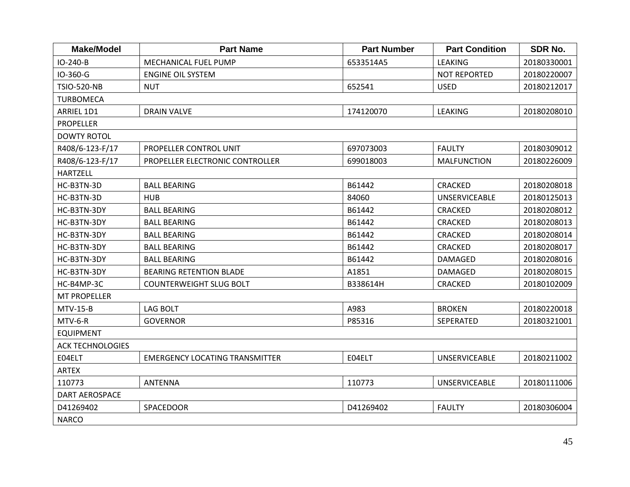| <b>Make/Model</b>       | <b>Part Name</b>                      | <b>Part Number</b> | <b>Part Condition</b> | <b>SDR No.</b> |  |  |  |
|-------------------------|---------------------------------------|--------------------|-----------------------|----------------|--|--|--|
| IO-240-B                | MECHANICAL FUEL PUMP                  | 6533514A5          | <b>LEAKING</b>        | 20180330001    |  |  |  |
| IO-360-G                | <b>ENGINE OIL SYSTEM</b>              |                    | <b>NOT REPORTED</b>   | 20180220007    |  |  |  |
| <b>TSIO-520-NB</b>      | <b>NUT</b>                            | 652541             | <b>USED</b>           | 20180212017    |  |  |  |
| <b>TURBOMECA</b>        |                                       |                    |                       |                |  |  |  |
| ARRIEL 1D1              | <b>DRAIN VALVE</b>                    | 174120070          | <b>LEAKING</b>        | 20180208010    |  |  |  |
| <b>PROPELLER</b>        |                                       |                    |                       |                |  |  |  |
| <b>DOWTY ROTOL</b>      |                                       |                    |                       |                |  |  |  |
| R408/6-123-F/17         | PROPELLER CONTROL UNIT                | 697073003          | <b>FAULTY</b>         | 20180309012    |  |  |  |
| R408/6-123-F/17         | PROPELLER ELECTRONIC CONTROLLER       | 699018003          | <b>MALFUNCTION</b>    | 20180226009    |  |  |  |
| <b>HARTZELL</b>         |                                       |                    |                       |                |  |  |  |
| HC-B3TN-3D              | <b>BALL BEARING</b>                   | B61442             | CRACKED               | 20180208018    |  |  |  |
| HC-B3TN-3D              | HUB                                   | 84060              | <b>UNSERVICEABLE</b>  | 20180125013    |  |  |  |
| HC-B3TN-3DY             | <b>BALL BEARING</b>                   | B61442             | <b>CRACKED</b>        | 20180208012    |  |  |  |
| HC-B3TN-3DY             | <b>BALL BEARING</b>                   | B61442             | <b>CRACKED</b>        | 20180208013    |  |  |  |
| HC-B3TN-3DY             | <b>BALL BEARING</b>                   | B61442             | CRACKED               | 20180208014    |  |  |  |
| HC-B3TN-3DY             | <b>BALL BEARING</b>                   | B61442             | <b>CRACKED</b>        | 20180208017    |  |  |  |
| HC-B3TN-3DY             | <b>BALL BEARING</b>                   | B61442             | DAMAGED               | 20180208016    |  |  |  |
| HC-B3TN-3DY             | <b>BEARING RETENTION BLADE</b>        | A1851              | DAMAGED               | 20180208015    |  |  |  |
| HC-B4MP-3C              | <b>COUNTERWEIGHT SLUG BOLT</b>        | B338614H           | <b>CRACKED</b>        | 20180102009    |  |  |  |
| <b>MT PROPELLER</b>     |                                       |                    |                       |                |  |  |  |
| $MTV-15-B$              | <b>LAG BOLT</b>                       | A983               | <b>BROKEN</b>         | 20180220018    |  |  |  |
| MTV-6-R                 | <b>GOVERNOR</b>                       | P85316             | SEPERATED             | 20180321001    |  |  |  |
| <b>EQUIPMENT</b>        |                                       |                    |                       |                |  |  |  |
| <b>ACK TECHNOLOGIES</b> |                                       |                    |                       |                |  |  |  |
| E04ELT                  | <b>EMERGENCY LOCATING TRANSMITTER</b> | E04ELT             | <b>UNSERVICEABLE</b>  | 20180211002    |  |  |  |
| <b>ARTEX</b>            |                                       |                    |                       |                |  |  |  |
| 110773                  | <b>ANTENNA</b>                        | 110773             | <b>UNSERVICEABLE</b>  | 20180111006    |  |  |  |
| DART AEROSPACE          |                                       |                    |                       |                |  |  |  |
| D41269402               | <b>SPACEDOOR</b>                      | D41269402          | <b>FAULTY</b>         | 20180306004    |  |  |  |
| <b>NARCO</b>            |                                       |                    |                       |                |  |  |  |